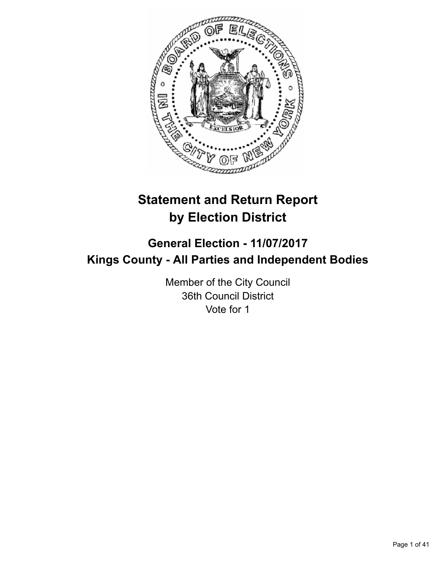

# **Statement and Return Report by Election District**

# **General Election - 11/07/2017 Kings County - All Parties and Independent Bodies**

Member of the City Council 36th Council District Vote for 1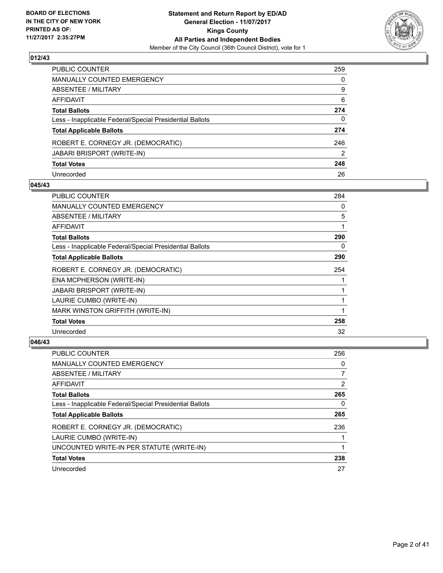

| PUBLIC COUNTER                                           | 259 |
|----------------------------------------------------------|-----|
| MANUALLY COUNTED EMERGENCY                               | 0   |
| ABSENTEE / MILITARY                                      | 9   |
| AFFIDAVIT                                                | 6   |
| <b>Total Ballots</b>                                     | 274 |
| Less - Inapplicable Federal/Special Presidential Ballots | 0   |
| <b>Total Applicable Ballots</b>                          | 274 |
| ROBERT E. CORNEGY JR. (DEMOCRATIC)                       | 246 |
| JABARI BRISPORT (WRITE-IN)                               | 2   |
| <b>Total Votes</b>                                       | 248 |
| Unrecorded                                               | 26  |

#### **045/43**

| <b>PUBLIC COUNTER</b>                                    | 284 |
|----------------------------------------------------------|-----|
| <b>MANUALLY COUNTED EMERGENCY</b>                        | 0   |
| ABSENTEE / MILITARY                                      | 5   |
| <b>AFFIDAVIT</b>                                         |     |
| <b>Total Ballots</b>                                     | 290 |
| Less - Inapplicable Federal/Special Presidential Ballots | 0   |
| <b>Total Applicable Ballots</b>                          | 290 |
| ROBERT E. CORNEGY JR. (DEMOCRATIC)                       | 254 |
| ENA MCPHERSON (WRITE-IN)                                 |     |
| JABARI BRISPORT (WRITE-IN)                               |     |
| LAURIE CUMBO (WRITE-IN)                                  |     |
| MARK WINSTON GRIFFITH (WRITE-IN)                         |     |
| <b>Total Votes</b>                                       | 258 |
| Unrecorded                                               | 32  |

| <b>PUBLIC COUNTER</b>                                    | 256 |
|----------------------------------------------------------|-----|
| MANUALLY COUNTED EMERGENCY                               | 0   |
| ABSENTEE / MILITARY                                      |     |
| AFFIDAVIT                                                | 2   |
| <b>Total Ballots</b>                                     | 265 |
| Less - Inapplicable Federal/Special Presidential Ballots | 0   |
| <b>Total Applicable Ballots</b>                          | 265 |
| ROBERT E. CORNEGY JR. (DEMOCRATIC)                       | 236 |
| LAURIE CUMBO (WRITE-IN)                                  |     |
| UNCOUNTED WRITE-IN PER STATUTE (WRITE-IN)                |     |
| <b>Total Votes</b>                                       | 238 |
| Unrecorded                                               | 27  |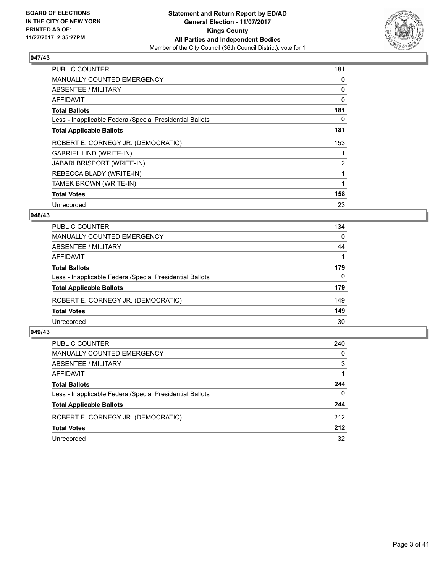

| <b>PUBLIC COUNTER</b>                                    | 181 |
|----------------------------------------------------------|-----|
| <b>MANUALLY COUNTED EMERGENCY</b>                        | 0   |
| ABSENTEE / MILITARY                                      | 0   |
| <b>AFFIDAVIT</b>                                         | 0   |
| <b>Total Ballots</b>                                     | 181 |
| Less - Inapplicable Federal/Special Presidential Ballots | 0   |
| <b>Total Applicable Ballots</b>                          | 181 |
| ROBERT E. CORNEGY JR. (DEMOCRATIC)                       | 153 |
| <b>GABRIEL LIND (WRITE-IN)</b>                           |     |
| <b>JABARI BRISPORT (WRITE-IN)</b>                        | 2   |
| REBECCA BLADY (WRITE-IN)                                 |     |
| TAMEK BROWN (WRITE-IN)                                   |     |
| <b>Total Votes</b>                                       | 158 |
| Unrecorded                                               | 23  |

## **048/43**

| PUBLIC COUNTER                                           | 134      |
|----------------------------------------------------------|----------|
| MANUALLY COUNTED EMERGENCY                               | $\Omega$ |
| ABSENTEE / MILITARY                                      | 44       |
| AFFIDAVIT                                                |          |
| <b>Total Ballots</b>                                     | 179      |
| Less - Inapplicable Federal/Special Presidential Ballots | 0        |
| <b>Total Applicable Ballots</b>                          | 179      |
| ROBERT E. CORNEGY JR. (DEMOCRATIC)                       | 149      |
| <b>Total Votes</b>                                       | 149      |
| Unrecorded                                               | 30       |

| <b>PUBLIC COUNTER</b>                                    | 240      |
|----------------------------------------------------------|----------|
| MANUALLY COUNTED EMERGENCY                               | 0        |
| ABSENTEE / MILITARY                                      | 3        |
| AFFIDAVIT                                                |          |
| <b>Total Ballots</b>                                     | 244      |
| Less - Inapplicable Federal/Special Presidential Ballots | $\Omega$ |
| <b>Total Applicable Ballots</b>                          | 244      |
| ROBERT E. CORNEGY JR. (DEMOCRATIC)                       | 212      |
| <b>Total Votes</b>                                       | 212      |
| Unrecorded                                               | 32       |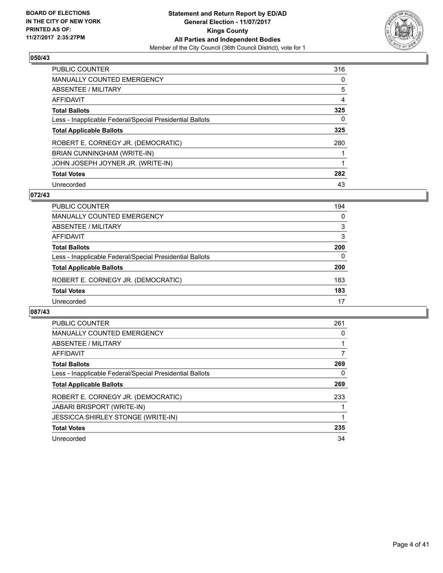

| <b>PUBLIC COUNTER</b>                                    | 316 |
|----------------------------------------------------------|-----|
| <b>MANUALLY COUNTED EMERGENCY</b>                        | 0   |
| ABSENTEE / MILITARY                                      | 5   |
| AFFIDAVIT                                                | 4   |
| <b>Total Ballots</b>                                     | 325 |
| Less - Inapplicable Federal/Special Presidential Ballots | 0   |
| <b>Total Applicable Ballots</b>                          | 325 |
| ROBERT E. CORNEGY JR. (DEMOCRATIC)                       | 280 |
| BRIAN CUNNINGHAM (WRITE-IN)                              |     |
| JOHN JOSEPH JOYNER JR. (WRITE-IN)                        |     |
| <b>Total Votes</b>                                       | 282 |
| Unrecorded                                               | 43  |

## **072/43**

| <b>PUBLIC COUNTER</b>                                    | 194      |
|----------------------------------------------------------|----------|
| MANUALLY COUNTED EMERGENCY                               | 0        |
| ABSENTEE / MILITARY                                      | 3        |
| AFFIDAVIT                                                | 3        |
| <b>Total Ballots</b>                                     | 200      |
| Less - Inapplicable Federal/Special Presidential Ballots | $\Omega$ |
| <b>Total Applicable Ballots</b>                          | 200      |
| ROBERT E. CORNEGY JR. (DEMOCRATIC)                       | 183      |
| <b>Total Votes</b>                                       | 183      |
| Unrecorded                                               | 17       |

| <b>PUBLIC COUNTER</b>                                    | 261 |
|----------------------------------------------------------|-----|
| <b>MANUALLY COUNTED EMERGENCY</b>                        | 0   |
| ABSENTEE / MILITARY                                      |     |
| AFFIDAVIT                                                | 7   |
| <b>Total Ballots</b>                                     | 269 |
| Less - Inapplicable Federal/Special Presidential Ballots | 0   |
| <b>Total Applicable Ballots</b>                          | 269 |
| ROBERT E. CORNEGY JR. (DEMOCRATIC)                       | 233 |
| <b>JABARI BRISPORT (WRITE-IN)</b>                        |     |
| <b>JESSICCA SHIRLEY STONGE (WRITE-IN)</b>                |     |
| <b>Total Votes</b>                                       | 235 |
| Unrecorded                                               | 34  |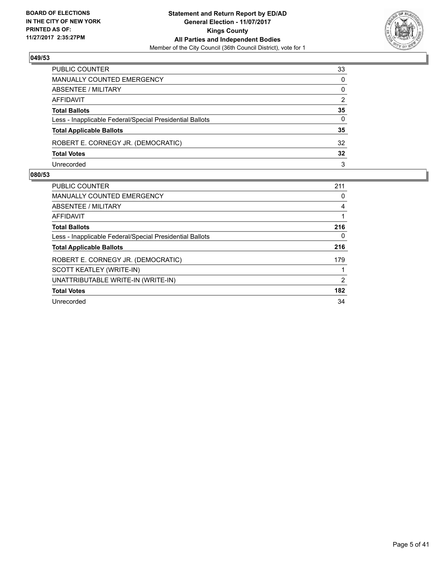

| PUBLIC COUNTER                                           | 33           |
|----------------------------------------------------------|--------------|
| <b>MANUALLY COUNTED EMERGENCY</b>                        | $\mathbf{0}$ |
| ABSENTEE / MILITARY                                      | $\mathbf{0}$ |
| AFFIDAVIT                                                | 2            |
| <b>Total Ballots</b>                                     | 35           |
| Less - Inapplicable Federal/Special Presidential Ballots | 0            |
| <b>Total Applicable Ballots</b>                          | 35           |
| ROBERT E. CORNEGY JR. (DEMOCRATIC)                       | 32           |
| <b>Total Votes</b>                                       | 32           |
| Unrecorded                                               | 3            |

| <b>PUBLIC COUNTER</b>                                    | 211 |
|----------------------------------------------------------|-----|
| <b>MANUALLY COUNTED EMERGENCY</b>                        | 0   |
| ABSENTEE / MILITARY                                      | 4   |
| AFFIDAVIT                                                | 1   |
| <b>Total Ballots</b>                                     | 216 |
| Less - Inapplicable Federal/Special Presidential Ballots | 0   |
| <b>Total Applicable Ballots</b>                          | 216 |
| ROBERT E. CORNEGY JR. (DEMOCRATIC)                       | 179 |
| SCOTT KEATLEY (WRITE-IN)                                 |     |
| UNATTRIBUTABLE WRITE-IN (WRITE-IN)                       | 2   |
| <b>Total Votes</b>                                       | 182 |
| Unrecorded                                               | 34  |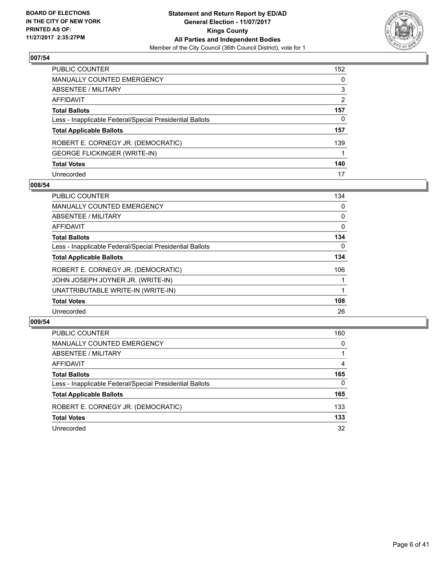

| PUBLIC COUNTER                                           | 152 |
|----------------------------------------------------------|-----|
| <b>MANUALLY COUNTED EMERGENCY</b>                        | 0   |
| ABSENTEE / MILITARY                                      | 3   |
| AFFIDAVIT                                                | 2   |
| <b>Total Ballots</b>                                     | 157 |
| Less - Inapplicable Federal/Special Presidential Ballots | 0   |
| <b>Total Applicable Ballots</b>                          | 157 |
| ROBERT E. CORNEGY JR. (DEMOCRATIC)                       | 139 |
| <b>GEORGE FLICKINGER (WRITE-IN)</b>                      |     |
| <b>Total Votes</b>                                       | 140 |
| Unrecorded                                               | 17  |

#### **008/54**

| <b>PUBLIC COUNTER</b>                                    | 134 |
|----------------------------------------------------------|-----|
| MANUALLY COUNTED EMERGENCY                               | 0   |
| ABSENTEE / MILITARY                                      | 0   |
| AFFIDAVIT                                                | 0   |
| <b>Total Ballots</b>                                     | 134 |
| Less - Inapplicable Federal/Special Presidential Ballots | 0   |
| <b>Total Applicable Ballots</b>                          | 134 |
| ROBERT E. CORNEGY JR. (DEMOCRATIC)                       | 106 |
| JOHN JOSEPH JOYNER JR. (WRITE-IN)                        |     |
| UNATTRIBUTABLE WRITE-IN (WRITE-IN)                       |     |
| <b>Total Votes</b>                                       | 108 |
| Unrecorded                                               | 26  |

| PUBLIC COUNTER                                           | 160 |
|----------------------------------------------------------|-----|
| MANUALLY COUNTED EMERGENCY                               | 0   |
| ABSENTEE / MILITARY                                      |     |
| AFFIDAVIT                                                | 4   |
| <b>Total Ballots</b>                                     | 165 |
| Less - Inapplicable Federal/Special Presidential Ballots | 0   |
| <b>Total Applicable Ballots</b>                          | 165 |
| ROBERT E. CORNEGY JR. (DEMOCRATIC)                       | 133 |
| <b>Total Votes</b>                                       | 133 |
| Unrecorded                                               | 32  |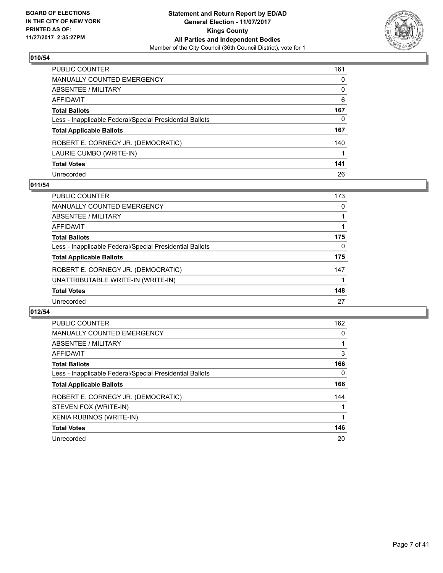

| PUBLIC COUNTER                                           | 161 |
|----------------------------------------------------------|-----|
| MANUALLY COUNTED EMERGENCY                               | 0   |
| <b>ABSENTEE / MILITARY</b>                               | 0   |
| AFFIDAVIT                                                | 6   |
| Total Ballots                                            | 167 |
| Less - Inapplicable Federal/Special Presidential Ballots | 0   |
| <b>Total Applicable Ballots</b>                          | 167 |
| ROBERT E. CORNEGY JR. (DEMOCRATIC)                       | 140 |
| LAURIE CUMBO (WRITE-IN)                                  |     |
| <b>Total Votes</b>                                       | 141 |
| Unrecorded                                               | 26  |

## **011/54**

| <b>PUBLIC COUNTER</b>                                    | 173 |
|----------------------------------------------------------|-----|
| <b>MANUALLY COUNTED EMERGENCY</b>                        | 0   |
| ABSENTEE / MILITARY                                      |     |
| AFFIDAVIT                                                |     |
| <b>Total Ballots</b>                                     | 175 |
| Less - Inapplicable Federal/Special Presidential Ballots | 0   |
| <b>Total Applicable Ballots</b>                          | 175 |
| ROBERT E. CORNEGY JR. (DEMOCRATIC)                       | 147 |
| UNATTRIBUTABLE WRITE-IN (WRITE-IN)                       |     |
| <b>Total Votes</b>                                       | 148 |
| Unrecorded                                               | 27  |

| <b>PUBLIC COUNTER</b>                                    | 162 |
|----------------------------------------------------------|-----|
| <b>MANUALLY COUNTED EMERGENCY</b>                        | 0   |
| ABSENTEE / MILITARY                                      |     |
| AFFIDAVIT                                                | 3   |
| <b>Total Ballots</b>                                     | 166 |
| Less - Inapplicable Federal/Special Presidential Ballots | 0   |
| <b>Total Applicable Ballots</b>                          | 166 |
| ROBERT E. CORNEGY JR. (DEMOCRATIC)                       | 144 |
| STEVEN FOX (WRITE-IN)                                    |     |
| XENIA RUBINOS (WRITE-IN)                                 |     |
| <b>Total Votes</b>                                       | 146 |
| Unrecorded                                               | 20  |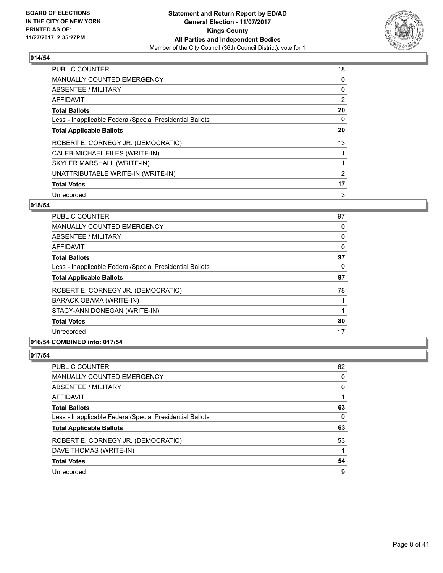

| <b>PUBLIC COUNTER</b>                                    | 18 |
|----------------------------------------------------------|----|
| <b>MANUALLY COUNTED EMERGENCY</b>                        | 0  |
| ABSENTEE / MILITARY                                      | 0  |
| <b>AFFIDAVIT</b>                                         | 2  |
| <b>Total Ballots</b>                                     | 20 |
| Less - Inapplicable Federal/Special Presidential Ballots | 0  |
| <b>Total Applicable Ballots</b>                          | 20 |
| ROBERT E. CORNEGY JR. (DEMOCRATIC)                       | 13 |
| CALEB-MICHAEL FILES (WRITE-IN)                           |    |
| SKYLER MARSHALL (WRITE-IN)                               |    |
| UNATTRIBUTABLE WRITE-IN (WRITE-IN)                       | 2  |
| <b>Total Votes</b>                                       | 17 |
| Unrecorded                                               | 3  |

## **015/54**

| <b>PUBLIC COUNTER</b>                                    | 97 |
|----------------------------------------------------------|----|
| <b>MANUALLY COUNTED EMERGENCY</b>                        | 0  |
| ABSENTEE / MILITARY                                      | 0  |
| <b>AFFIDAVIT</b>                                         | 0  |
| <b>Total Ballots</b>                                     | 97 |
| Less - Inapplicable Federal/Special Presidential Ballots | 0  |
| <b>Total Applicable Ballots</b>                          | 97 |
| ROBERT E. CORNEGY JR. (DEMOCRATIC)                       | 78 |
| BARACK OBAMA (WRITE-IN)                                  |    |
| STACY-ANN DONEGAN (WRITE-IN)                             |    |
| <b>Total Votes</b>                                       | 80 |
| Unrecorded                                               | 17 |

# **016/54 COMBINED into: 017/54**

| <b>PUBLIC COUNTER</b>                                    | 62 |
|----------------------------------------------------------|----|
| <b>MANUALLY COUNTED EMERGENCY</b>                        | 0  |
| <b>ABSENTEE / MILITARY</b>                               | 0  |
| <b>AFFIDAVIT</b>                                         |    |
| <b>Total Ballots</b>                                     | 63 |
| Less - Inapplicable Federal/Special Presidential Ballots | 0  |
| <b>Total Applicable Ballots</b>                          | 63 |
| ROBERT E. CORNEGY JR. (DEMOCRATIC)                       | 53 |
| DAVE THOMAS (WRITE-IN)                                   |    |
| <b>Total Votes</b>                                       | 54 |
| Unrecorded                                               | 9  |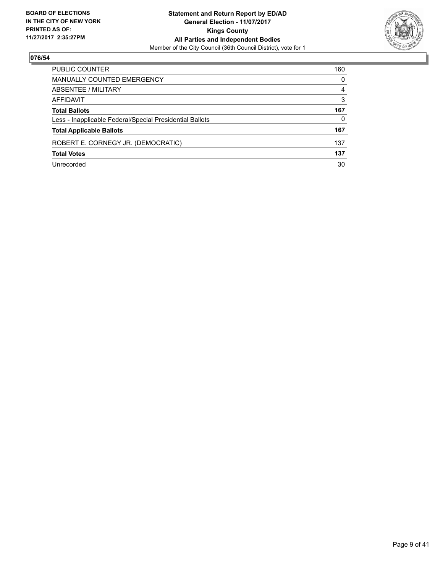

| <b>PUBLIC COUNTER</b>                                    | 160 |
|----------------------------------------------------------|-----|
| MANUALLY COUNTED EMERGENCY                               | 0   |
| ABSENTEE / MILITARY                                      | 4   |
| AFFIDAVIT                                                | 3   |
| <b>Total Ballots</b>                                     | 167 |
| Less - Inapplicable Federal/Special Presidential Ballots | 0   |
| <b>Total Applicable Ballots</b>                          | 167 |
| ROBERT E. CORNEGY JR. (DEMOCRATIC)                       | 137 |
| <b>Total Votes</b>                                       | 137 |
| Unrecorded                                               | 30  |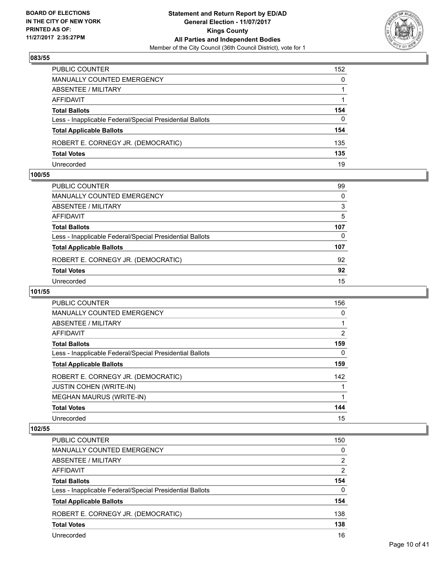

| PUBLIC COUNTER                                           | 152          |
|----------------------------------------------------------|--------------|
| MANUALLY COUNTED EMERGENCY                               | $\mathbf{0}$ |
| ABSENTEE / MILITARY                                      |              |
| <b>AFFIDAVIT</b>                                         |              |
| <b>Total Ballots</b>                                     | 154          |
| Less - Inapplicable Federal/Special Presidential Ballots | $\Omega$     |
| <b>Total Applicable Ballots</b>                          | 154          |
| ROBERT E. CORNEGY JR. (DEMOCRATIC)                       | 135          |
| <b>Total Votes</b>                                       | 135          |
| Unrecorded                                               | 19           |

#### **100/55**

| PUBLIC COUNTER                                           | 99  |
|----------------------------------------------------------|-----|
| MANUALLY COUNTED EMERGENCY                               | 0   |
| ABSENTEE / MILITARY                                      | 3   |
| AFFIDAVIT                                                | 5   |
| Total Ballots                                            | 107 |
| Less - Inapplicable Federal/Special Presidential Ballots | 0   |
| <b>Total Applicable Ballots</b>                          | 107 |
| ROBERT E. CORNEGY JR. (DEMOCRATIC)                       | 92  |
| <b>Total Votes</b>                                       | 92  |
| Unrecorded                                               | 15  |
|                                                          |     |

## **101/55**

| <b>PUBLIC COUNTER</b>                                    | 156 |
|----------------------------------------------------------|-----|
| <b>MANUALLY COUNTED EMERGENCY</b>                        | 0   |
| ABSENTEE / MILITARY                                      |     |
| <b>AFFIDAVIT</b>                                         | 2   |
| <b>Total Ballots</b>                                     | 159 |
| Less - Inapplicable Federal/Special Presidential Ballots | 0   |
| <b>Total Applicable Ballots</b>                          | 159 |
| ROBERT E. CORNEGY JR. (DEMOCRATIC)                       | 142 |
| <b>JUSTIN COHEN (WRITE-IN)</b>                           |     |
| <b>MEGHAN MAURUS (WRITE-IN)</b>                          |     |
| <b>Total Votes</b>                                       | 144 |
| Unrecorded                                               | 15  |

| <b>PUBLIC COUNTER</b>                                    | 150 |
|----------------------------------------------------------|-----|
| <b>MANUALLY COUNTED EMERGENCY</b>                        | 0   |
| ABSENTEE / MILITARY                                      | 2   |
| AFFIDAVIT                                                | 2   |
| <b>Total Ballots</b>                                     | 154 |
| Less - Inapplicable Federal/Special Presidential Ballots | 0   |
| <b>Total Applicable Ballots</b>                          | 154 |
| ROBERT E. CORNEGY JR. (DEMOCRATIC)                       | 138 |
| <b>Total Votes</b>                                       | 138 |
| Unrecorded                                               | 16  |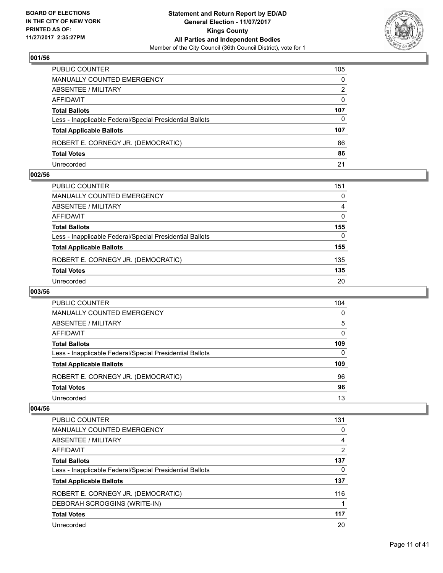

| PUBLIC COUNTER                                           | 105          |
|----------------------------------------------------------|--------------|
| MANUALLY COUNTED EMERGENCY                               | $\mathbf{0}$ |
| ABSENTEE / MILITARY                                      | 2            |
| AFFIDAVIT                                                | $\Omega$     |
| <b>Total Ballots</b>                                     | 107          |
| Less - Inapplicable Federal/Special Presidential Ballots | $\Omega$     |
| <b>Total Applicable Ballots</b>                          | 107          |
| ROBERT E. CORNEGY JR. (DEMOCRATIC)                       | 86           |
| <b>Total Votes</b>                                       | 86           |
| Unrecorded                                               | 21           |

#### **002/56**

| PUBLIC COUNTER                                           | 151      |
|----------------------------------------------------------|----------|
| MANUALLY COUNTED EMERGENCY                               | 0        |
| ABSENTEE / MILITARY                                      | 4        |
| AFFIDAVIT                                                | $\Omega$ |
| <b>Total Ballots</b>                                     | 155      |
| Less - Inapplicable Federal/Special Presidential Ballots | 0        |
| <b>Total Applicable Ballots</b>                          | 155      |
| ROBERT E. CORNEGY JR. (DEMOCRATIC)                       | 135      |
| <b>Total Votes</b>                                       | 135      |
| Unrecorded                                               | 20       |
|                                                          |          |

# **003/56**

| <b>PUBLIC COUNTER</b>                                    | 104 |
|----------------------------------------------------------|-----|
| MANUALLY COUNTED EMERGENCY                               | 0   |
| ABSENTEE / MILITARY                                      | 5   |
| AFFIDAVIT                                                | 0   |
| <b>Total Ballots</b>                                     | 109 |
| Less - Inapplicable Federal/Special Presidential Ballots | 0   |
| <b>Total Applicable Ballots</b>                          | 109 |
| ROBERT E. CORNEGY JR. (DEMOCRATIC)                       | 96  |
| <b>Total Votes</b>                                       | 96  |
| Unrecorded                                               | 13  |

| <b>PUBLIC COUNTER</b>                                    | 131 |
|----------------------------------------------------------|-----|
| <b>MANUALLY COUNTED EMERGENCY</b>                        | 0   |
| ABSENTEE / MILITARY                                      | 4   |
| AFFIDAVIT                                                | 2   |
| <b>Total Ballots</b>                                     | 137 |
| Less - Inapplicable Federal/Special Presidential Ballots | 0   |
| <b>Total Applicable Ballots</b>                          | 137 |
| ROBERT E. CORNEGY JR. (DEMOCRATIC)                       | 116 |
| DEBORAH SCROGGINS (WRITE-IN)                             |     |
| <b>Total Votes</b>                                       | 117 |
| Unrecorded                                               | 20  |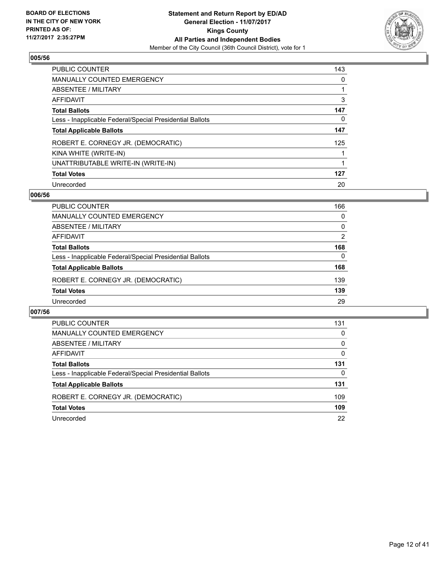

| <b>PUBLIC COUNTER</b>                                    | 143 |
|----------------------------------------------------------|-----|
| MANUALLY COUNTED EMERGENCY                               | 0   |
| ABSENTEE / MILITARY                                      |     |
| AFFIDAVIT                                                | 3   |
| <b>Total Ballots</b>                                     | 147 |
| Less - Inapplicable Federal/Special Presidential Ballots | 0   |
| <b>Total Applicable Ballots</b>                          | 147 |
| ROBERT E. CORNEGY JR. (DEMOCRATIC)                       | 125 |
| KINA WHITE (WRITE-IN)                                    |     |
| UNATTRIBUTABLE WRITE-IN (WRITE-IN)                       |     |
| <b>Total Votes</b>                                       | 127 |
| Unrecorded                                               | 20  |

#### **006/56**

| <b>PUBLIC COUNTER</b>                                    | 166      |
|----------------------------------------------------------|----------|
| <b>MANUALLY COUNTED EMERGENCY</b>                        | 0        |
| ABSENTEE / MILITARY                                      | $\Omega$ |
| AFFIDAVIT                                                | 2        |
| <b>Total Ballots</b>                                     | 168      |
| Less - Inapplicable Federal/Special Presidential Ballots | $\Omega$ |
| <b>Total Applicable Ballots</b>                          | 168      |
| ROBERT E. CORNEGY JR. (DEMOCRATIC)                       | 139      |
| <b>Total Votes</b>                                       | 139      |
| Unrecorded                                               | 29       |

| <b>PUBLIC COUNTER</b>                                    | 131      |
|----------------------------------------------------------|----------|
| <b>MANUALLY COUNTED EMERGENCY</b>                        | 0        |
| ABSENTEE / MILITARY                                      | $\Omega$ |
| AFFIDAVIT                                                | 0        |
| <b>Total Ballots</b>                                     | 131      |
| Less - Inapplicable Federal/Special Presidential Ballots | 0        |
| <b>Total Applicable Ballots</b>                          | 131      |
| ROBERT E. CORNEGY JR. (DEMOCRATIC)                       | 109      |
| <b>Total Votes</b>                                       | 109      |
| Unrecorded                                               | 22       |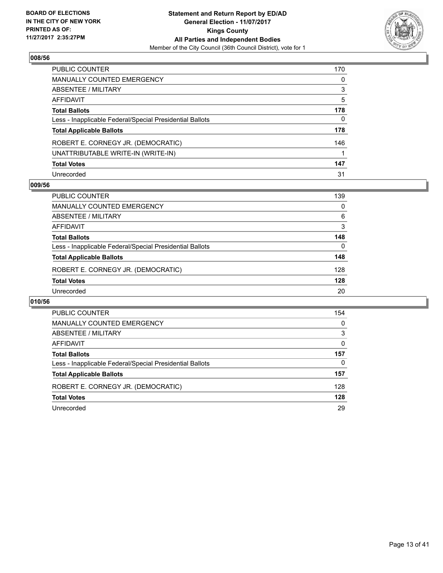

| PUBLIC COUNTER                                           | 170 |
|----------------------------------------------------------|-----|
| <b>MANUALLY COUNTED EMERGENCY</b>                        | 0   |
| ABSENTEE / MILITARY                                      | 3   |
| AFFIDAVIT                                                | 5   |
| <b>Total Ballots</b>                                     | 178 |
| Less - Inapplicable Federal/Special Presidential Ballots | 0   |
| <b>Total Applicable Ballots</b>                          | 178 |
| ROBERT E. CORNEGY JR. (DEMOCRATIC)                       | 146 |
| UNATTRIBUTABLE WRITE-IN (WRITE-IN)                       |     |
| <b>Total Votes</b>                                       | 147 |
| Unrecorded                                               | 31  |

#### **009/56**

| 139 |
|-----|
| 0   |
| 6   |
| 3   |
| 148 |
| 0   |
| 148 |
| 128 |
| 128 |
| 20  |
|     |

| <b>PUBLIC COUNTER</b>                                    | 154 |
|----------------------------------------------------------|-----|
| <b>MANUALLY COUNTED EMERGENCY</b>                        | 0   |
| ABSENTEE / MILITARY                                      | 3   |
| AFFIDAVIT                                                | 0   |
| <b>Total Ballots</b>                                     | 157 |
| Less - Inapplicable Federal/Special Presidential Ballots | 0   |
| <b>Total Applicable Ballots</b>                          | 157 |
| ROBERT E. CORNEGY JR. (DEMOCRATIC)                       | 128 |
| <b>Total Votes</b>                                       | 128 |
| Unrecorded                                               | 29  |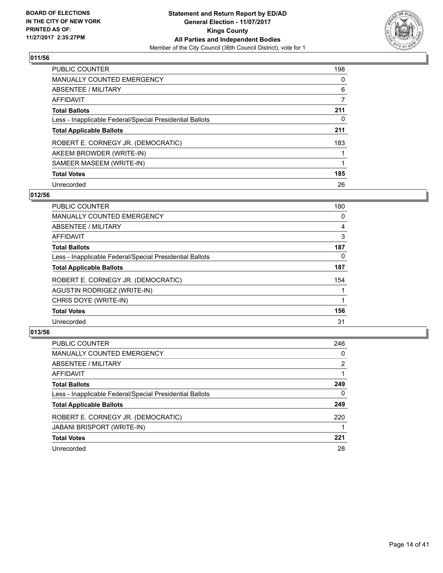

| <b>PUBLIC COUNTER</b>                                    | 198 |
|----------------------------------------------------------|-----|
| <b>MANUALLY COUNTED EMERGENCY</b>                        | 0   |
| ABSENTEE / MILITARY                                      | 6   |
| AFFIDAVIT                                                | 7   |
| <b>Total Ballots</b>                                     | 211 |
| Less - Inapplicable Federal/Special Presidential Ballots | 0   |
| <b>Total Applicable Ballots</b>                          | 211 |
| ROBERT E. CORNEGY JR. (DEMOCRATIC)                       | 183 |
| AKEEM BROWDER (WRITE-IN)                                 |     |
| SAMEER MASEEM (WRITE-IN)                                 |     |
| <b>Total Votes</b>                                       | 185 |
| Unrecorded                                               | 26  |

## **012/56**

| <b>PUBLIC COUNTER</b>                                    | 180 |
|----------------------------------------------------------|-----|
| <b>MANUALLY COUNTED EMERGENCY</b>                        | 0   |
| <b>ABSENTEE / MILITARY</b>                               | 4   |
| <b>AFFIDAVIT</b>                                         | 3   |
| <b>Total Ballots</b>                                     | 187 |
| Less - Inapplicable Federal/Special Presidential Ballots | 0   |
| <b>Total Applicable Ballots</b>                          | 187 |
| ROBERT E. CORNEGY JR. (DEMOCRATIC)                       | 154 |
| AGUSTIN RODRIGEZ (WRITE-IN)                              |     |
| CHRIS DOYE (WRITE-IN)                                    |     |
| <b>Total Votes</b>                                       | 156 |
| Unrecorded                                               | 31  |

| <b>PUBLIC COUNTER</b>                                    | 246 |
|----------------------------------------------------------|-----|
| <b>MANUALLY COUNTED EMERGENCY</b>                        | 0   |
| ABSENTEE / MILITARY                                      | 2   |
| AFFIDAVIT                                                |     |
| <b>Total Ballots</b>                                     | 249 |
| Less - Inapplicable Federal/Special Presidential Ballots | 0   |
| <b>Total Applicable Ballots</b>                          | 249 |
| ROBERT E. CORNEGY JR. (DEMOCRATIC)                       | 220 |
| <b>JABANI BRISPORT (WRITE-IN)</b>                        |     |
| <b>Total Votes</b>                                       | 221 |
| Unrecorded                                               | 28  |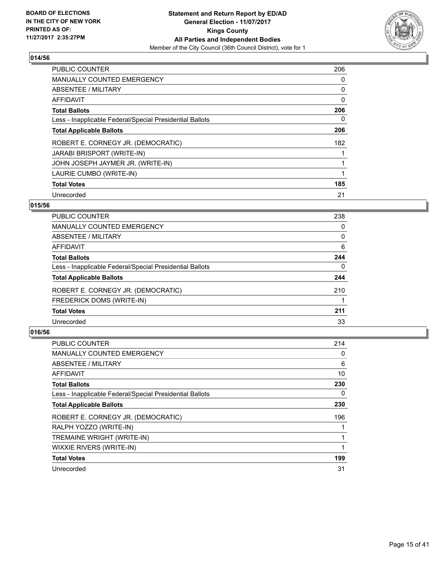

| <b>PUBLIC COUNTER</b>                                    | 206 |
|----------------------------------------------------------|-----|
| <b>MANUALLY COUNTED EMERGENCY</b>                        | 0   |
| ABSENTEE / MILITARY                                      | 0   |
| AFFIDAVIT                                                | 0   |
| <b>Total Ballots</b>                                     | 206 |
| Less - Inapplicable Federal/Special Presidential Ballots | 0   |
| <b>Total Applicable Ballots</b>                          | 206 |
| ROBERT E. CORNEGY JR. (DEMOCRATIC)                       | 182 |
| <b>JARABI BRISPORT (WRITE-IN)</b>                        |     |
| JOHN JOSEPH JAYMER JR. (WRITE-IN)                        |     |
| LAURIE CUMBO (WRITE-IN)                                  | 1   |
| <b>Total Votes</b>                                       | 185 |
| Unrecorded                                               | 21  |

## **015/56**

| 238 |
|-----|
| 0   |
| 0   |
| 6   |
| 244 |
| 0   |
| 244 |
| 210 |
|     |
| 211 |
| 33  |
|     |

| <b>PUBLIC COUNTER</b>                                    | 214 |
|----------------------------------------------------------|-----|
| <b>MANUALLY COUNTED EMERGENCY</b>                        | 0   |
| ABSENTEE / MILITARY                                      | 6   |
| AFFIDAVIT                                                | 10  |
| <b>Total Ballots</b>                                     | 230 |
| Less - Inapplicable Federal/Special Presidential Ballots | 0   |
| <b>Total Applicable Ballots</b>                          | 230 |
| ROBERT E. CORNEGY JR. (DEMOCRATIC)                       | 196 |
| RALPH YOZZO (WRITE-IN)                                   |     |
| TREMAINE WRIGHT (WRITE-IN)                               |     |
| WIXXIE RIVERS (WRITE-IN)                                 |     |
| <b>Total Votes</b>                                       | 199 |
| Unrecorded                                               | 31  |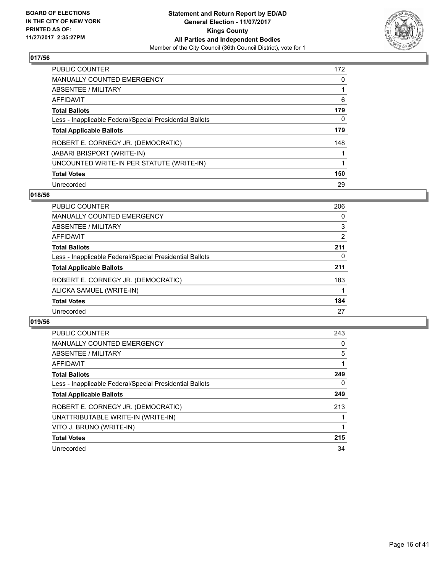

| <b>PUBLIC COUNTER</b>                                    | 172 |
|----------------------------------------------------------|-----|
| MANUALLY COUNTED EMERGENCY                               | 0   |
| ABSENTEE / MILITARY                                      |     |
| AFFIDAVIT                                                | 6   |
| <b>Total Ballots</b>                                     | 179 |
| Less - Inapplicable Federal/Special Presidential Ballots | 0   |
| <b>Total Applicable Ballots</b>                          | 179 |
| ROBERT E. CORNEGY JR. (DEMOCRATIC)                       | 148 |
| <b>JABARI BRISPORT (WRITE-IN)</b>                        |     |
| UNCOUNTED WRITE-IN PER STATUTE (WRITE-IN)                |     |
| <b>Total Votes</b>                                       | 150 |
| Unrecorded                                               | 29  |

## **018/56**

| PUBLIC COUNTER                                           | 206            |
|----------------------------------------------------------|----------------|
| MANUALLY COUNTED EMERGENCY                               | 0              |
| ABSENTEE / MILITARY                                      | 3              |
| AFFIDAVIT                                                | $\overline{2}$ |
| <b>Total Ballots</b>                                     | 211            |
| Less - Inapplicable Federal/Special Presidential Ballots | 0              |
| <b>Total Applicable Ballots</b>                          | 211            |
| ROBERT E. CORNEGY JR. (DEMOCRATIC)                       | 183            |
| ALICKA SAMUEL (WRITE-IN)                                 |                |
| <b>Total Votes</b>                                       | 184            |
| Unrecorded                                               | 27             |

| <b>PUBLIC COUNTER</b>                                    | 243      |
|----------------------------------------------------------|----------|
| MANUALLY COUNTED EMERGENCY                               | 0        |
| ABSENTEE / MILITARY                                      | 5        |
| <b>AFFIDAVIT</b>                                         |          |
| <b>Total Ballots</b>                                     | 249      |
| Less - Inapplicable Federal/Special Presidential Ballots | $\Omega$ |
| <b>Total Applicable Ballots</b>                          | 249      |
| ROBERT E. CORNEGY JR. (DEMOCRATIC)                       | 213      |
| UNATTRIBUTABLE WRITE-IN (WRITE-IN)                       |          |
| VITO J. BRUNO (WRITE-IN)                                 |          |
| <b>Total Votes</b>                                       | 215      |
| Unrecorded                                               | 34       |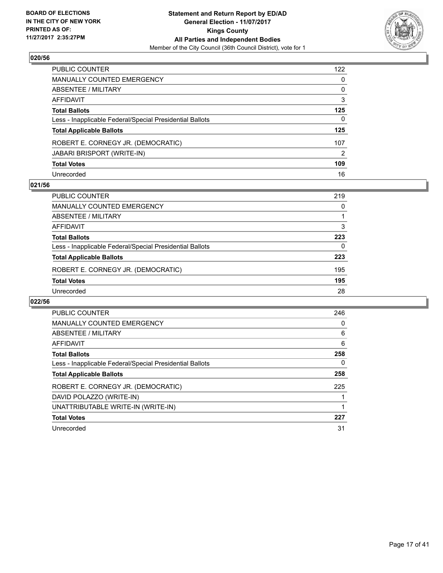

| PUBLIC COUNTER                                           | 122 |
|----------------------------------------------------------|-----|
| MANUALLY COUNTED EMERGENCY                               | 0   |
| <b>ABSENTEE / MILITARY</b>                               | 0   |
| AFFIDAVIT                                                | 3   |
| Total Ballots                                            | 125 |
| Less - Inapplicable Federal/Special Presidential Ballots | 0   |
| <b>Total Applicable Ballots</b>                          | 125 |
| ROBERT E. CORNEGY JR. (DEMOCRATIC)                       | 107 |
| JABARI BRISPORT (WRITE-IN)                               | 2   |
| <b>Total Votes</b>                                       | 109 |
| Unrecorded                                               | 16  |

#### **021/56**

| 219      |
|----------|
| 0        |
|          |
| 3        |
| 223      |
| $\Omega$ |
| 223      |
| 195      |
| 195      |
| 28       |
|          |

| <b>PUBLIC COUNTER</b>                                    | 246 |
|----------------------------------------------------------|-----|
| <b>MANUALLY COUNTED EMERGENCY</b>                        | 0   |
| ABSENTEE / MILITARY                                      | 6   |
| AFFIDAVIT                                                | 6   |
| <b>Total Ballots</b>                                     | 258 |
| Less - Inapplicable Federal/Special Presidential Ballots | 0   |
| <b>Total Applicable Ballots</b>                          | 258 |
| ROBERT E. CORNEGY JR. (DEMOCRATIC)                       | 225 |
| DAVID POLAZZO (WRITE-IN)                                 |     |
| UNATTRIBUTABLE WRITE-IN (WRITE-IN)                       |     |
| <b>Total Votes</b>                                       | 227 |
| Unrecorded                                               | 31  |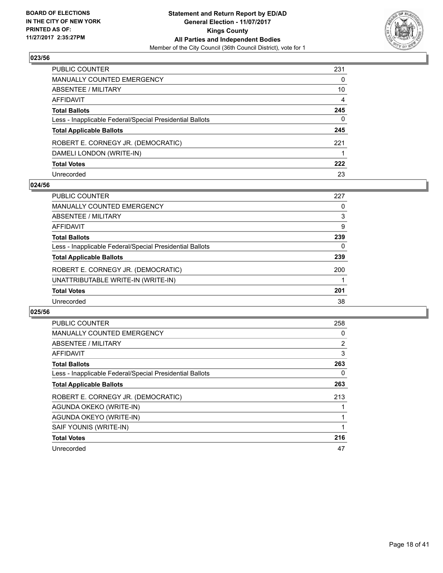

| PUBLIC COUNTER                                           | 231 |
|----------------------------------------------------------|-----|
| MANUALLY COUNTED EMERGENCY                               | 0   |
| ABSENTEE / MILITARY                                      | 10  |
| AFFIDAVIT                                                | 4   |
| Total Ballots                                            | 245 |
| Less - Inapplicable Federal/Special Presidential Ballots | 0   |
| <b>Total Applicable Ballots</b>                          | 245 |
| ROBERT E. CORNEGY JR. (DEMOCRATIC)                       | 221 |
| DAMELI LONDON (WRITE-IN)                                 |     |
| <b>Total Votes</b>                                       | 222 |
| Unrecorded                                               | 23  |

#### **024/56**

| <b>PUBLIC COUNTER</b>                                    | 227 |
|----------------------------------------------------------|-----|
| <b>MANUALLY COUNTED EMERGENCY</b>                        | 0   |
| ABSENTEE / MILITARY                                      | 3   |
| AFFIDAVIT                                                | 9   |
| <b>Total Ballots</b>                                     | 239 |
| Less - Inapplicable Federal/Special Presidential Ballots | 0   |
| <b>Total Applicable Ballots</b>                          | 239 |
| ROBERT E. CORNEGY JR. (DEMOCRATIC)                       | 200 |
| UNATTRIBUTABLE WRITE-IN (WRITE-IN)                       |     |
| <b>Total Votes</b>                                       | 201 |
| Unrecorded                                               | 38  |

| <b>PUBLIC COUNTER</b>                                    | 258 |
|----------------------------------------------------------|-----|
| <b>MANUALLY COUNTED EMERGENCY</b>                        | 0   |
| ABSENTEE / MILITARY                                      | 2   |
| <b>AFFIDAVIT</b>                                         | 3   |
| <b>Total Ballots</b>                                     | 263 |
| Less - Inapplicable Federal/Special Presidential Ballots | 0   |
| <b>Total Applicable Ballots</b>                          | 263 |
| ROBERT E. CORNEGY JR. (DEMOCRATIC)                       | 213 |
| AGUNDA OKEKO (WRITE-IN)                                  |     |
| AGUNDA OKEYO (WRITE-IN)                                  |     |
| SAIF YOUNIS (WRITE-IN)                                   |     |
| <b>Total Votes</b>                                       | 216 |
| Unrecorded                                               | 47  |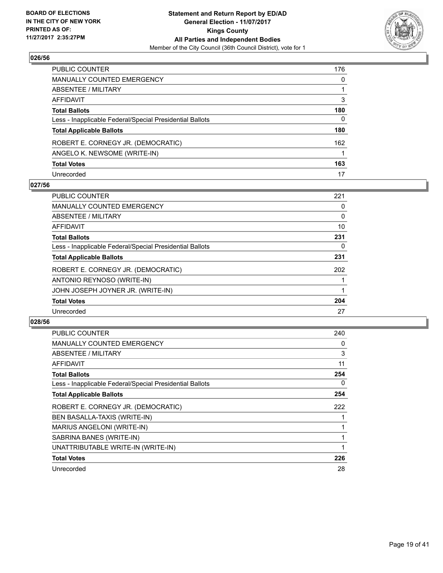

| PUBLIC COUNTER                                           | 176 |
|----------------------------------------------------------|-----|
| MANUALLY COUNTED EMERGENCY                               | 0   |
| ABSENTEE / MILITARY                                      |     |
| AFFIDAVIT                                                | 3   |
| <b>Total Ballots</b>                                     | 180 |
| Less - Inapplicable Federal/Special Presidential Ballots | 0   |
| <b>Total Applicable Ballots</b>                          | 180 |
| ROBERT E. CORNEGY JR. (DEMOCRATIC)                       | 162 |
| ANGELO K. NEWSOME (WRITE-IN)                             |     |
| <b>Total Votes</b>                                       | 163 |
| Unrecorded                                               | 17  |

#### **027/56**

| <b>PUBLIC COUNTER</b>                                    | 221 |
|----------------------------------------------------------|-----|
| <b>MANUALLY COUNTED EMERGENCY</b>                        | 0   |
| ABSENTEE / MILITARY                                      | 0   |
| <b>AFFIDAVIT</b>                                         | 10  |
| <b>Total Ballots</b>                                     | 231 |
| Less - Inapplicable Federal/Special Presidential Ballots | 0   |
| <b>Total Applicable Ballots</b>                          | 231 |
| ROBERT E. CORNEGY JR. (DEMOCRATIC)                       | 202 |
| ANTONIO REYNOSO (WRITE-IN)                               |     |
| JOHN JOSEPH JOYNER JR. (WRITE-IN)                        |     |
| <b>Total Votes</b>                                       | 204 |
| Unrecorded                                               | 27  |

| <b>PUBLIC COUNTER</b>                                    | 240 |
|----------------------------------------------------------|-----|
| <b>MANUALLY COUNTED EMERGENCY</b>                        | 0   |
| ABSENTEE / MILITARY                                      | 3   |
| AFFIDAVIT                                                | 11  |
| <b>Total Ballots</b>                                     | 254 |
| Less - Inapplicable Federal/Special Presidential Ballots | 0   |
| <b>Total Applicable Ballots</b>                          | 254 |
| ROBERT E. CORNEGY JR. (DEMOCRATIC)                       | 222 |
| BEN BASALLA-TAXIS (WRITE-IN)                             |     |
| MARIUS ANGELONI (WRITE-IN)                               |     |
| SABRINA BANES (WRITE-IN)                                 |     |
| UNATTRIBUTABLE WRITE-IN (WRITE-IN)                       |     |
| <b>Total Votes</b>                                       | 226 |
|                                                          |     |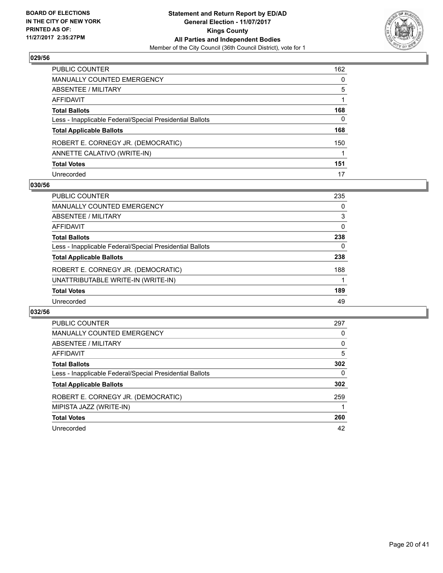

| PUBLIC COUNTER                                           | 162 |
|----------------------------------------------------------|-----|
| MANUALLY COUNTED EMERGENCY                               | 0   |
| <b>ABSENTEE / MILITARY</b>                               | 5   |
| AFFIDAVIT                                                |     |
| Total Ballots                                            | 168 |
| Less - Inapplicable Federal/Special Presidential Ballots | 0   |
| <b>Total Applicable Ballots</b>                          | 168 |
| ROBERT E. CORNEGY JR. (DEMOCRATIC)                       | 150 |
| ANNETTE CALATIVO (WRITE-IN)                              |     |
| <b>Total Votes</b>                                       | 151 |
| Unrecorded                                               | 17  |

#### **030/56**

| <b>PUBLIC COUNTER</b>                                    | 235 |
|----------------------------------------------------------|-----|
| MANUALLY COUNTED EMERGENCY                               | 0   |
| ABSENTEE / MILITARY                                      | 3   |
| AFFIDAVIT                                                | 0   |
| <b>Total Ballots</b>                                     | 238 |
| Less - Inapplicable Federal/Special Presidential Ballots | 0   |
| <b>Total Applicable Ballots</b>                          | 238 |
| ROBERT E. CORNEGY JR. (DEMOCRATIC)                       | 188 |
| UNATTRIBUTABLE WRITE-IN (WRITE-IN)                       |     |
| <b>Total Votes</b>                                       | 189 |
| Unrecorded                                               | 49  |

| <b>PUBLIC COUNTER</b>                                    | 297 |
|----------------------------------------------------------|-----|
| <b>MANUALLY COUNTED EMERGENCY</b>                        | 0   |
| ABSENTEE / MILITARY                                      | 0   |
| AFFIDAVIT                                                | 5   |
| <b>Total Ballots</b>                                     | 302 |
| Less - Inapplicable Federal/Special Presidential Ballots | 0   |
| <b>Total Applicable Ballots</b>                          | 302 |
| ROBERT E. CORNEGY JR. (DEMOCRATIC)                       | 259 |
| MIPISTA JAZZ (WRITE-IN)                                  |     |
| <b>Total Votes</b>                                       | 260 |
| Unrecorded                                               | 42  |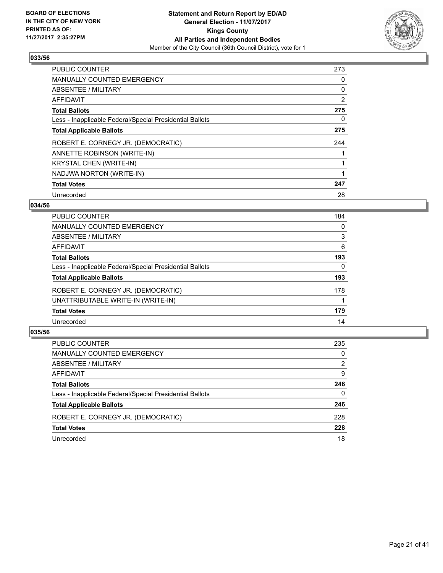

| <b>PUBLIC COUNTER</b>                                    | 273 |
|----------------------------------------------------------|-----|
| <b>MANUALLY COUNTED EMERGENCY</b>                        | 0   |
| ABSENTEE / MILITARY                                      | 0   |
| AFFIDAVIT                                                | 2   |
| <b>Total Ballots</b>                                     | 275 |
| Less - Inapplicable Federal/Special Presidential Ballots | 0   |
| <b>Total Applicable Ballots</b>                          | 275 |
| ROBERT E. CORNEGY JR. (DEMOCRATIC)                       | 244 |
| ANNETTE ROBINSON (WRITE-IN)                              |     |
| <b>KRYSTAL CHEN (WRITE-IN)</b>                           |     |
| NADJWA NORTON (WRITE-IN)                                 | 1   |
| <b>Total Votes</b>                                       | 247 |
| Unrecorded                                               | 28  |

## **034/56**

| 184 |
|-----|
| 0   |
| 3   |
| 6   |
| 193 |
| 0   |
| 193 |
| 178 |
|     |
| 179 |
| 14  |
|     |

| <b>PUBLIC COUNTER</b>                                    | 235 |
|----------------------------------------------------------|-----|
| MANUALLY COUNTED EMERGENCY                               | 0   |
| ABSENTEE / MILITARY                                      | 2   |
| AFFIDAVIT                                                | 9   |
| <b>Total Ballots</b>                                     | 246 |
| Less - Inapplicable Federal/Special Presidential Ballots | 0   |
| <b>Total Applicable Ballots</b>                          | 246 |
| ROBERT E. CORNEGY JR. (DEMOCRATIC)                       | 228 |
| <b>Total Votes</b>                                       | 228 |
| Unrecorded                                               | 18  |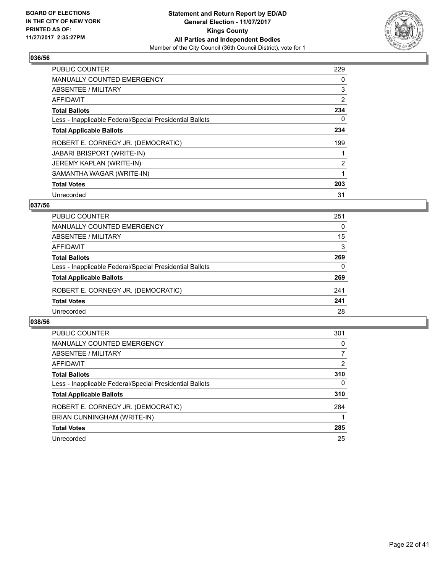

| <b>PUBLIC COUNTER</b>                                    | 229            |
|----------------------------------------------------------|----------------|
| <b>MANUALLY COUNTED EMERGENCY</b>                        | 0              |
| ABSENTEE / MILITARY                                      | 3              |
| <b>AFFIDAVIT</b>                                         | $\overline{2}$ |
| <b>Total Ballots</b>                                     | 234            |
| Less - Inapplicable Federal/Special Presidential Ballots | 0              |
| <b>Total Applicable Ballots</b>                          | 234            |
| ROBERT E. CORNEGY JR. (DEMOCRATIC)                       | 199            |
| <b>JABARI BRISPORT (WRITE-IN)</b>                        |                |
| JEREMY KAPLAN (WRITE-IN)                                 | $\overline{2}$ |
| SAMANTHA WAGAR (WRITE-IN)                                |                |
| <b>Total Votes</b>                                       | 203            |
| Unrecorded                                               | 31             |

# **037/56**

| <b>PUBLIC COUNTER</b>                                    | 251      |
|----------------------------------------------------------|----------|
| MANUALLY COUNTED EMERGENCY                               | $\Omega$ |
| ABSENTEE / MILITARY                                      | 15       |
| AFFIDAVIT                                                | 3        |
| <b>Total Ballots</b>                                     | 269      |
| Less - Inapplicable Federal/Special Presidential Ballots | $\Omega$ |
| <b>Total Applicable Ballots</b>                          | 269      |
| ROBERT E. CORNEGY JR. (DEMOCRATIC)                       | 241      |
| <b>Total Votes</b>                                       | 241      |
| Unrecorded                                               | 28       |

| <b>PUBLIC COUNTER</b>                                    | 301      |
|----------------------------------------------------------|----------|
| <b>MANUALLY COUNTED EMERGENCY</b>                        | 0        |
| ABSENTEE / MILITARY                                      | 7        |
| AFFIDAVIT                                                | 2        |
| <b>Total Ballots</b>                                     | 310      |
| Less - Inapplicable Federal/Special Presidential Ballots | $\Omega$ |
| <b>Total Applicable Ballots</b>                          | 310      |
| ROBERT E. CORNEGY JR. (DEMOCRATIC)                       | 284      |
| BRIAN CUNNINGHAM (WRITE-IN)                              |          |
| <b>Total Votes</b>                                       | 285      |
| Unrecorded                                               | 25       |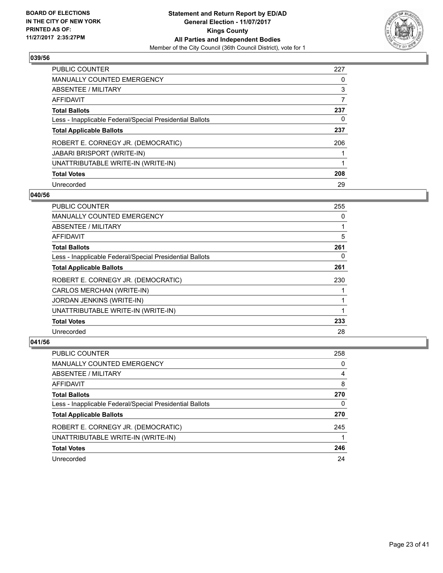

| <b>PUBLIC COUNTER</b>                                    | 227 |
|----------------------------------------------------------|-----|
| MANUALLY COUNTED EMERGENCY                               | 0   |
| ABSENTEE / MILITARY                                      | 3   |
| AFFIDAVIT                                                | 7   |
| <b>Total Ballots</b>                                     | 237 |
| Less - Inapplicable Federal/Special Presidential Ballots | 0   |
| <b>Total Applicable Ballots</b>                          | 237 |
| ROBERT E. CORNEGY JR. (DEMOCRATIC)                       | 206 |
| <b>JABARI BRISPORT (WRITE-IN)</b>                        |     |
| UNATTRIBUTABLE WRITE-IN (WRITE-IN)                       |     |
| <b>Total Votes</b>                                       | 208 |
| Unrecorded                                               | 29  |

#### **040/56**

| <b>PUBLIC COUNTER</b>                                    | 255 |
|----------------------------------------------------------|-----|
| <b>MANUALLY COUNTED EMERGENCY</b>                        | 0   |
| ABSENTEE / MILITARY                                      |     |
| AFFIDAVIT                                                | 5   |
| <b>Total Ballots</b>                                     | 261 |
| Less - Inapplicable Federal/Special Presidential Ballots | 0   |
| <b>Total Applicable Ballots</b>                          | 261 |
| ROBERT E. CORNEGY JR. (DEMOCRATIC)                       | 230 |
| CARLOS MERCHAN (WRITE-IN)                                |     |
| JORDAN JENKINS (WRITE-IN)                                |     |
| UNATTRIBUTABLE WRITE-IN (WRITE-IN)                       |     |
| <b>Total Votes</b>                                       | 233 |
| Unrecorded                                               | 28  |

| PUBLIC COUNTER                                           | 258 |
|----------------------------------------------------------|-----|
| MANUALLY COUNTED EMERGENCY                               | 0   |
| ABSENTEE / MILITARY                                      | 4   |
| AFFIDAVIT                                                | 8   |
| <b>Total Ballots</b>                                     | 270 |
| Less - Inapplicable Federal/Special Presidential Ballots | 0   |
| <b>Total Applicable Ballots</b>                          | 270 |
| ROBERT E. CORNEGY JR. (DEMOCRATIC)                       | 245 |
| UNATTRIBUTABLE WRITE-IN (WRITE-IN)                       |     |
| <b>Total Votes</b>                                       | 246 |
| Unrecorded                                               | 24  |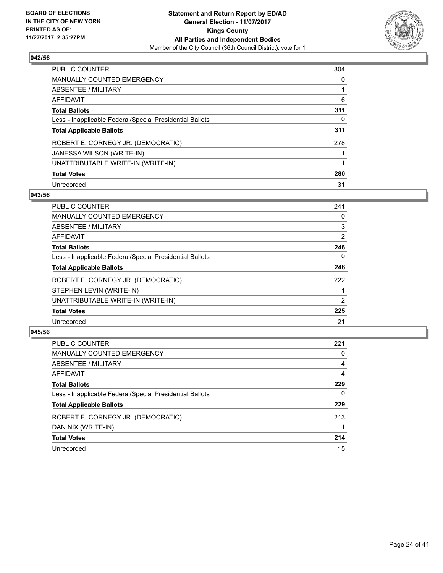

| PUBLIC COUNTER                                           | 304 |
|----------------------------------------------------------|-----|
| <b>MANUALLY COUNTED EMERGENCY</b>                        | 0   |
| ABSENTEE / MILITARY                                      |     |
| AFFIDAVIT                                                | 6   |
| <b>Total Ballots</b>                                     | 311 |
| Less - Inapplicable Federal/Special Presidential Ballots | 0   |
| <b>Total Applicable Ballots</b>                          | 311 |
| ROBERT E. CORNEGY JR. (DEMOCRATIC)                       | 278 |
| JANESSA WILSON (WRITE-IN)                                |     |
| UNATTRIBUTABLE WRITE-IN (WRITE-IN)                       |     |
| <b>Total Votes</b>                                       | 280 |
| Unrecorded                                               | 31  |

#### **043/56**

| <b>PUBLIC COUNTER</b>                                    | 241 |
|----------------------------------------------------------|-----|
| <b>MANUALLY COUNTED EMERGENCY</b>                        | 0   |
| ABSENTEE / MILITARY                                      | 3   |
| <b>AFFIDAVIT</b>                                         | 2   |
| <b>Total Ballots</b>                                     | 246 |
| Less - Inapplicable Federal/Special Presidential Ballots | 0   |
| <b>Total Applicable Ballots</b>                          | 246 |
| ROBERT E. CORNEGY JR. (DEMOCRATIC)                       | 222 |
| STEPHEN LEVIN (WRITE-IN)                                 |     |
| UNATTRIBUTABLE WRITE-IN (WRITE-IN)                       | 2   |
| <b>Total Votes</b>                                       | 225 |
| Unrecorded                                               | 21  |

| <b>PUBLIC COUNTER</b>                                    | 221 |
|----------------------------------------------------------|-----|
| MANUALLY COUNTED EMERGENCY                               | 0   |
| ABSENTEE / MILITARY                                      | 4   |
| AFFIDAVIT                                                | 4   |
| <b>Total Ballots</b>                                     | 229 |
| Less - Inapplicable Federal/Special Presidential Ballots | 0   |
| <b>Total Applicable Ballots</b>                          | 229 |
| ROBERT E. CORNEGY JR. (DEMOCRATIC)                       | 213 |
| DAN NIX (WRITE-IN)                                       |     |
| <b>Total Votes</b>                                       | 214 |
| Unrecorded                                               | 15  |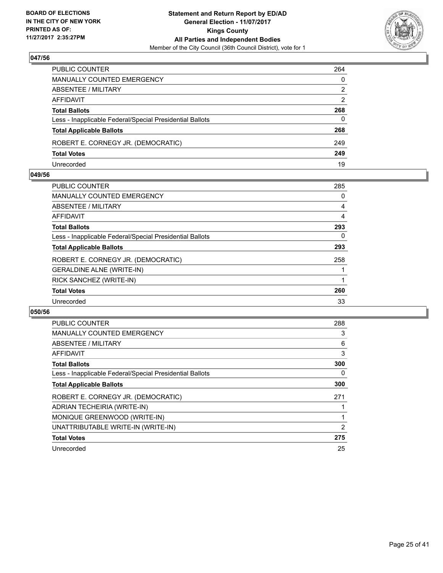

| PUBLIC COUNTER                                           | 264          |
|----------------------------------------------------------|--------------|
| <b>MANUALLY COUNTED EMERGENCY</b>                        | $\mathbf{0}$ |
| ABSENTEE / MILITARY                                      | 2            |
| AFFIDAVIT                                                | 2            |
| <b>Total Ballots</b>                                     | 268          |
| Less - Inapplicable Federal/Special Presidential Ballots | $\Omega$     |
| <b>Total Applicable Ballots</b>                          | 268          |
| ROBERT E. CORNEGY JR. (DEMOCRATIC)                       | 249          |
| <b>Total Votes</b>                                       | 249          |
| Unrecorded                                               | 19           |

#### **049/56**

| PUBLIC COUNTER                                           | 285 |
|----------------------------------------------------------|-----|
| <b>MANUALLY COUNTED EMERGENCY</b>                        | 0   |
| ABSENTEE / MILITARY                                      | 4   |
| AFFIDAVIT                                                | 4   |
| <b>Total Ballots</b>                                     | 293 |
| Less - Inapplicable Federal/Special Presidential Ballots | 0   |
| <b>Total Applicable Ballots</b>                          | 293 |
| ROBERT E. CORNEGY JR. (DEMOCRATIC)                       | 258 |
| <b>GERALDINE ALNE (WRITE-IN)</b>                         |     |
| RICK SANCHEZ (WRITE-IN)                                  |     |
| <b>Total Votes</b>                                       | 260 |
| Unrecorded                                               | 33  |
|                                                          |     |

| <b>PUBLIC COUNTER</b>                                    | 288 |
|----------------------------------------------------------|-----|
| <b>MANUALLY COUNTED EMERGENCY</b>                        | 3   |
| ABSENTEE / MILITARY                                      | 6   |
| <b>AFFIDAVIT</b>                                         | 3   |
| <b>Total Ballots</b>                                     | 300 |
| Less - Inapplicable Federal/Special Presidential Ballots | 0   |
| <b>Total Applicable Ballots</b>                          | 300 |
| ROBERT E. CORNEGY JR. (DEMOCRATIC)                       | 271 |
| ADRIAN TECHEIRIA (WRITE-IN)                              |     |
| MONIQUE GREENWOOD (WRITE-IN)                             |     |
| UNATTRIBUTABLE WRITE-IN (WRITE-IN)                       | 2   |
| <b>Total Votes</b>                                       | 275 |
| Unrecorded                                               | 25  |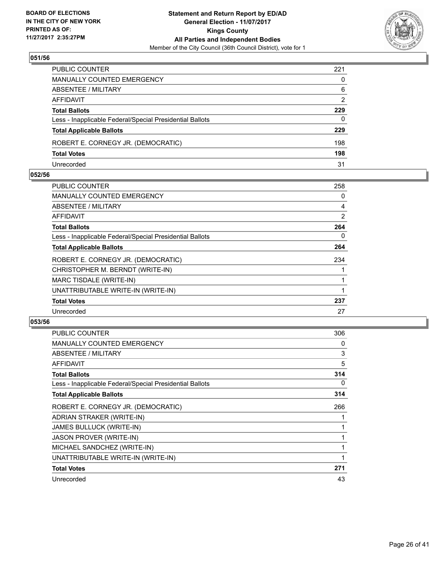

| PUBLIC COUNTER                                           | 221 |
|----------------------------------------------------------|-----|
| MANUALLY COUNTED EMERGENCY                               | 0   |
| ABSENTEE / MILITARY                                      | 6   |
| AFFIDAVIT                                                | 2   |
| Total Ballots                                            | 229 |
| Less - Inapplicable Federal/Special Presidential Ballots | 0   |
| <b>Total Applicable Ballots</b>                          | 229 |
| ROBERT E. CORNEGY JR. (DEMOCRATIC)                       | 198 |
| <b>Total Votes</b>                                       | 198 |
| Unrecorded                                               | 31  |

#### **052/56**

| <b>PUBLIC COUNTER</b>                                    | 258            |
|----------------------------------------------------------|----------------|
| <b>MANUALLY COUNTED EMERGENCY</b>                        | 0              |
| <b>ABSENTEE / MILITARY</b>                               | $\overline{4}$ |
| AFFIDAVIT                                                | 2              |
| <b>Total Ballots</b>                                     | 264            |
| Less - Inapplicable Federal/Special Presidential Ballots | 0              |
| <b>Total Applicable Ballots</b>                          | 264            |
| ROBERT E. CORNEGY JR. (DEMOCRATIC)                       | 234            |
| CHRISTOPHER M. BERNDT (WRITE-IN)                         |                |
| MARC TISDALE (WRITE-IN)                                  |                |
| UNATTRIBUTABLE WRITE-IN (WRITE-IN)                       |                |
| <b>Total Votes</b>                                       | 237            |
| Unrecorded                                               | 27             |
|                                                          |                |

| PUBLIC COUNTER                                           | 306 |
|----------------------------------------------------------|-----|
| MANUALLY COUNTED EMERGENCY                               | 0   |
| ABSENTEE / MILITARY                                      | 3   |
| <b>AFFIDAVIT</b>                                         | 5   |
| <b>Total Ballots</b>                                     | 314 |
| Less - Inapplicable Federal/Special Presidential Ballots | 0   |
| <b>Total Applicable Ballots</b>                          | 314 |
| ROBERT E. CORNEGY JR. (DEMOCRATIC)                       | 266 |
| ADRIAN STRAKER (WRITE-IN)                                |     |
| JAMES BULLUCK (WRITE-IN)                                 |     |
| <b>JASON PROVER (WRITE-IN)</b>                           |     |
| MICHAEL SANDCHEZ (WRITE-IN)                              |     |
| UNATTRIBUTABLE WRITE-IN (WRITE-IN)                       |     |
| <b>Total Votes</b>                                       | 271 |
| Unrecorded                                               | 43  |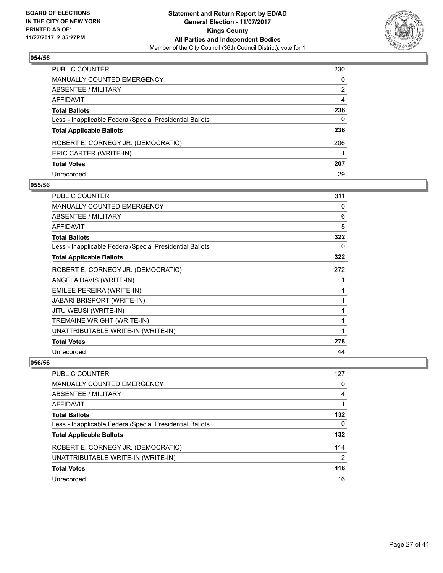

| PUBLIC COUNTER                                           | 230 |
|----------------------------------------------------------|-----|
| MANUALLY COUNTED EMERGENCY                               | 0   |
| ABSENTEE / MILITARY                                      | 2   |
| AFFIDAVIT                                                | 4   |
| Total Ballots                                            | 236 |
| Less - Inapplicable Federal/Special Presidential Ballots | 0   |
| <b>Total Applicable Ballots</b>                          | 236 |
| ROBERT E. CORNEGY JR. (DEMOCRATIC)                       | 206 |
| ERIC CARTER (WRITE-IN)                                   |     |
| <b>Total Votes</b>                                       | 207 |
| Unrecorded                                               | 29  |

#### **055/56**

| <b>PUBLIC COUNTER</b>                                    | 311 |
|----------------------------------------------------------|-----|
| <b>MANUALLY COUNTED EMERGENCY</b>                        | 0   |
| ABSENTEE / MILITARY                                      | 6   |
| <b>AFFIDAVIT</b>                                         | 5   |
| <b>Total Ballots</b>                                     | 322 |
| Less - Inapplicable Federal/Special Presidential Ballots | 0   |
| <b>Total Applicable Ballots</b>                          | 322 |
| ROBERT E. CORNEGY JR. (DEMOCRATIC)                       | 272 |
| ANGELA DAVIS (WRITE-IN)                                  |     |
| EMILEE PEREIRA (WRITE-IN)                                |     |
| <b>JABARI BRISPORT (WRITE-IN)</b>                        |     |
| JITU WEUSI (WRITE-IN)                                    |     |
| TREMAINE WRIGHT (WRITE-IN)                               | 1   |
| UNATTRIBUTABLE WRITE-IN (WRITE-IN)                       |     |
| <b>Total Votes</b>                                       | 278 |
| Unrecorded                                               | 44  |

| PUBLIC COUNTER                                           | 127 |
|----------------------------------------------------------|-----|
| <b>MANUALLY COUNTED EMERGENCY</b>                        | 0   |
| ABSENTEE / MILITARY                                      | 4   |
| AFFIDAVIT                                                |     |
| <b>Total Ballots</b>                                     | 132 |
| Less - Inapplicable Federal/Special Presidential Ballots | 0   |
| <b>Total Applicable Ballots</b>                          | 132 |
| ROBERT E. CORNEGY JR. (DEMOCRATIC)                       | 114 |
| UNATTRIBUTABLE WRITE-IN (WRITE-IN)                       | 2   |
| <b>Total Votes</b>                                       | 116 |
| Unrecorded                                               | 16  |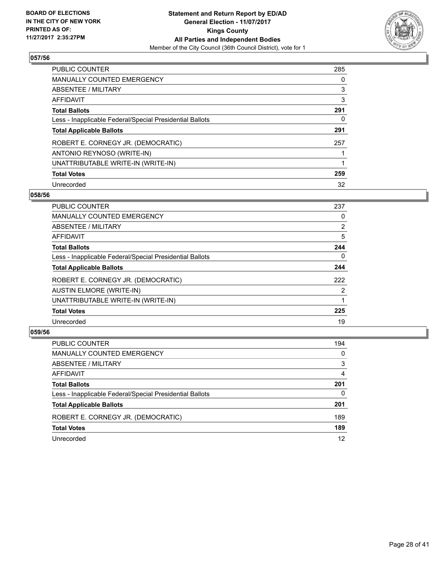

| <b>PUBLIC COUNTER</b>                                    | 285 |
|----------------------------------------------------------|-----|
| <b>MANUALLY COUNTED EMERGENCY</b>                        | 0   |
| ABSENTEE / MILITARY                                      | 3   |
| AFFIDAVIT                                                | 3   |
| <b>Total Ballots</b>                                     | 291 |
| Less - Inapplicable Federal/Special Presidential Ballots | 0   |
| <b>Total Applicable Ballots</b>                          | 291 |
| ROBERT E. CORNEGY JR. (DEMOCRATIC)                       | 257 |
| ANTONIO REYNOSO (WRITE-IN)                               |     |
| UNATTRIBUTABLE WRITE-IN (WRITE-IN)                       |     |
| <b>Total Votes</b>                                       | 259 |
| Unrecorded                                               | 32  |

#### **058/56**

| <b>PUBLIC COUNTER</b>                                    | 237      |
|----------------------------------------------------------|----------|
| <b>MANUALLY COUNTED EMERGENCY</b>                        | 0        |
| ABSENTEE / MILITARY                                      | 2        |
| <b>AFFIDAVIT</b>                                         | 5        |
| <b>Total Ballots</b>                                     | 244      |
| Less - Inapplicable Federal/Special Presidential Ballots | $\Omega$ |
| <b>Total Applicable Ballots</b>                          | 244      |
| ROBERT E. CORNEGY JR. (DEMOCRATIC)                       | 222      |
| <b>AUSTIN ELMORE (WRITE-IN)</b>                          | 2        |
| UNATTRIBUTABLE WRITE-IN (WRITE-IN)                       |          |
| <b>Total Votes</b>                                       | 225      |
| Unrecorded                                               | 19       |

| <b>PUBLIC COUNTER</b>                                    | 194      |
|----------------------------------------------------------|----------|
| MANUALLY COUNTED EMERGENCY                               | $\Omega$ |
| ABSENTEE / MILITARY                                      | 3        |
| AFFIDAVIT                                                | 4        |
| <b>Total Ballots</b>                                     | 201      |
| Less - Inapplicable Federal/Special Presidential Ballots | $\Omega$ |
| <b>Total Applicable Ballots</b>                          | 201      |
| ROBERT E. CORNEGY JR. (DEMOCRATIC)                       | 189      |
| <b>Total Votes</b>                                       | 189      |
| Unrecorded                                               | 12       |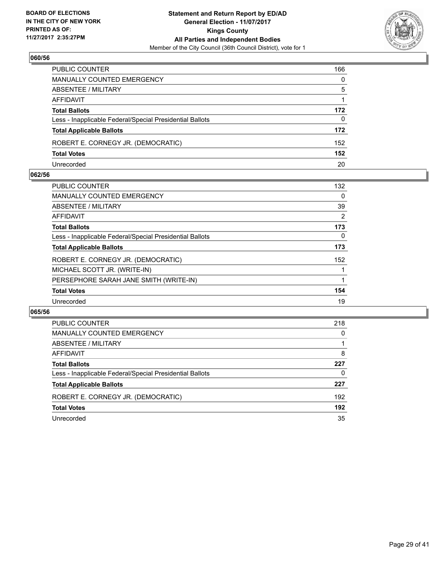

| PUBLIC COUNTER                                           | 166          |
|----------------------------------------------------------|--------------|
| MANUALLY COUNTED EMERGENCY                               | $\mathbf{0}$ |
| <b>ABSENTEE / MILITARY</b>                               | 5            |
| AFFIDAVIT                                                |              |
| <b>Total Ballots</b>                                     | 172          |
| Less - Inapplicable Federal/Special Presidential Ballots | 0            |
| <b>Total Applicable Ballots</b>                          | 172          |
| ROBERT E. CORNEGY JR. (DEMOCRATIC)                       | 152          |
| <b>Total Votes</b>                                       | 152          |
| Unrecorded                                               | 20           |

#### **062/56**

| 132            |
|----------------|
| 0              |
| 39             |
| $\overline{2}$ |
| 173            |
| 0              |
| 173            |
| 152            |
|                |
|                |
| 154            |
| 19             |
|                |

| PUBLIC COUNTER                                           | 218 |
|----------------------------------------------------------|-----|
| <b>MANUALLY COUNTED EMERGENCY</b>                        | 0   |
| ABSENTEE / MILITARY                                      |     |
| AFFIDAVIT                                                | 8   |
| <b>Total Ballots</b>                                     | 227 |
| Less - Inapplicable Federal/Special Presidential Ballots | 0   |
| <b>Total Applicable Ballots</b>                          | 227 |
| ROBERT E. CORNEGY JR. (DEMOCRATIC)                       | 192 |
| <b>Total Votes</b>                                       | 192 |
| Unrecorded                                               | 35  |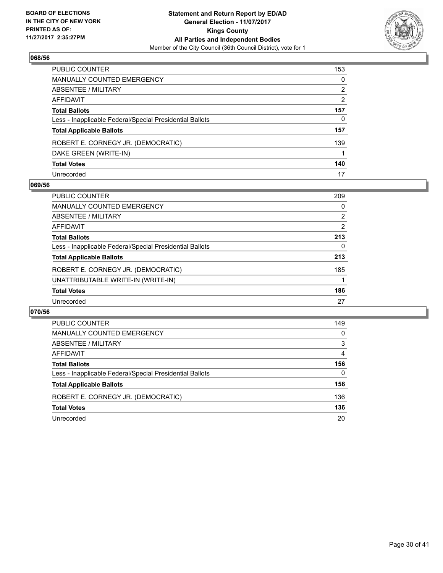

| PUBLIC COUNTER                                           | 153 |
|----------------------------------------------------------|-----|
| <b>MANUALLY COUNTED EMERGENCY</b>                        | 0   |
| ABSENTEE / MILITARY                                      | 2   |
| AFFIDAVIT                                                | 2   |
| <b>Total Ballots</b>                                     | 157 |
| Less - Inapplicable Federal/Special Presidential Ballots | 0   |
| <b>Total Applicable Ballots</b>                          | 157 |
| ROBERT E. CORNEGY JR. (DEMOCRATIC)                       | 139 |
| DAKE GREEN (WRITE-IN)                                    |     |
| <b>Total Votes</b>                                       | 140 |
| Unrecorded                                               | 17  |

#### **069/56**

| <b>PUBLIC COUNTER</b>                                    | 209 |
|----------------------------------------------------------|-----|
| MANUALLY COUNTED EMERGENCY                               | 0   |
| ABSENTEE / MILITARY                                      | 2   |
| AFFIDAVIT                                                | 2   |
| <b>Total Ballots</b>                                     | 213 |
| Less - Inapplicable Federal/Special Presidential Ballots | 0   |
| <b>Total Applicable Ballots</b>                          | 213 |
| ROBERT E. CORNEGY JR. (DEMOCRATIC)                       | 185 |
| UNATTRIBUTABLE WRITE-IN (WRITE-IN)                       |     |
| <b>Total Votes</b>                                       | 186 |
| Unrecorded                                               | 27  |

| <b>PUBLIC COUNTER</b>                                    | 149      |
|----------------------------------------------------------|----------|
| <b>MANUALLY COUNTED EMERGENCY</b>                        | 0        |
| ABSENTEE / MILITARY                                      | 3        |
| AFFIDAVIT                                                | 4        |
| <b>Total Ballots</b>                                     | 156      |
| Less - Inapplicable Federal/Special Presidential Ballots | $\Omega$ |
| <b>Total Applicable Ballots</b>                          | 156      |
| ROBERT E. CORNEGY JR. (DEMOCRATIC)                       | 136      |
| <b>Total Votes</b>                                       | 136      |
| Unrecorded                                               | 20       |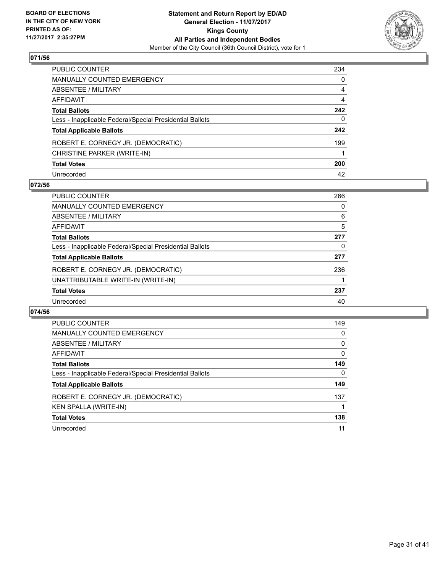

| PUBLIC COUNTER                                           | 234 |
|----------------------------------------------------------|-----|
| MANUALLY COUNTED EMERGENCY                               | 0   |
| ABSENTEE / MILITARY                                      | 4   |
| AFFIDAVIT                                                | 4   |
| Total Ballots                                            | 242 |
| Less - Inapplicable Federal/Special Presidential Ballots | 0   |
| <b>Total Applicable Ballots</b>                          | 242 |
| ROBERT E. CORNEGY JR. (DEMOCRATIC)                       | 199 |
| CHRISTINE PARKER (WRITE-IN)                              |     |
| <b>Total Votes</b>                                       | 200 |
| Unrecorded                                               | 42  |

## **072/56**

| <b>PUBLIC COUNTER</b>                                    | 266 |
|----------------------------------------------------------|-----|
| <b>MANUALLY COUNTED EMERGENCY</b>                        | 0   |
| ABSENTEE / MILITARY                                      | 6   |
| AFFIDAVIT                                                | 5   |
| <b>Total Ballots</b>                                     | 277 |
| Less - Inapplicable Federal/Special Presidential Ballots | 0   |
| <b>Total Applicable Ballots</b>                          | 277 |
| ROBERT E. CORNEGY JR. (DEMOCRATIC)                       | 236 |
| UNATTRIBUTABLE WRITE-IN (WRITE-IN)                       |     |
| <b>Total Votes</b>                                       | 237 |
| Unrecorded                                               | 40  |

| <b>PUBLIC COUNTER</b>                                    | 149      |
|----------------------------------------------------------|----------|
| <b>MANUALLY COUNTED EMERGENCY</b>                        | 0        |
| ABSENTEE / MILITARY                                      | 0        |
| AFFIDAVIT                                                | $\Omega$ |
| <b>Total Ballots</b>                                     | 149      |
| Less - Inapplicable Federal/Special Presidential Ballots | 0        |
| <b>Total Applicable Ballots</b>                          | 149      |
| ROBERT E. CORNEGY JR. (DEMOCRATIC)                       | 137      |
| <b>KEN SPALLA (WRITE-IN)</b>                             |          |
| <b>Total Votes</b>                                       | 138      |
| Unrecorded                                               | 11       |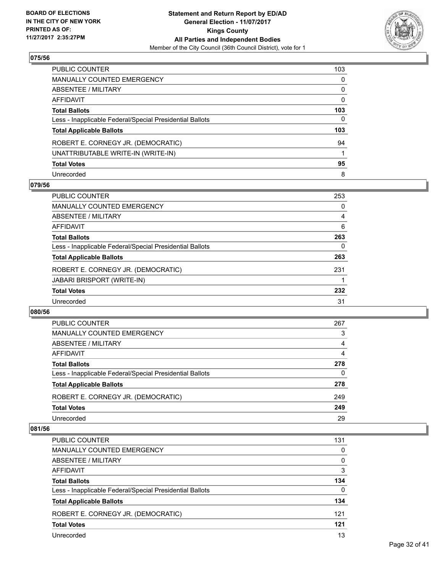

| 103 |
|-----|
| 0   |
| 0   |
| 0   |
| 103 |
| 0   |
| 103 |
| 94  |
| 1   |
| 95  |
| 8   |
|     |

## **079/56**

| <b>PUBLIC COUNTER</b>                                    | 253 |
|----------------------------------------------------------|-----|
| MANUALLY COUNTED EMERGENCY                               | 0   |
| ABSENTEE / MILITARY                                      | 4   |
| AFFIDAVIT                                                | 6   |
| <b>Total Ballots</b>                                     | 263 |
| Less - Inapplicable Federal/Special Presidential Ballots | 0   |
| <b>Total Applicable Ballots</b>                          | 263 |
| ROBERT E. CORNEGY JR. (DEMOCRATIC)                       | 231 |
| <b>JABARI BRISPORT (WRITE-IN)</b>                        |     |
| <b>Total Votes</b>                                       | 232 |
| Unrecorded                                               | 31  |

#### **080/56**

| PUBLIC COUNTER                                           | 267      |
|----------------------------------------------------------|----------|
| MANUALLY COUNTED EMERGENCY                               | 3        |
| ABSENTEE / MILITARY                                      | 4        |
| AFFIDAVIT                                                | 4        |
| <b>Total Ballots</b>                                     | 278      |
| Less - Inapplicable Federal/Special Presidential Ballots | $\Omega$ |
| <b>Total Applicable Ballots</b>                          | 278      |
| ROBERT E. CORNEGY JR. (DEMOCRATIC)                       | 249      |
| <b>Total Votes</b>                                       | 249      |
| Unrecorded                                               | 29       |
|                                                          |          |

| PUBLIC COUNTER                                           | 131      |
|----------------------------------------------------------|----------|
| MANUALLY COUNTED EMERGENCY                               | $\Omega$ |
| ABSENTEE / MILITARY                                      | 0        |
| AFFIDAVIT                                                | 3        |
| <b>Total Ballots</b>                                     | 134      |
| Less - Inapplicable Federal/Special Presidential Ballots | $\Omega$ |
| <b>Total Applicable Ballots</b>                          | 134      |
| ROBERT E. CORNEGY JR. (DEMOCRATIC)                       | 121      |
| <b>Total Votes</b>                                       | 121      |
| Unrecorded                                               | 13       |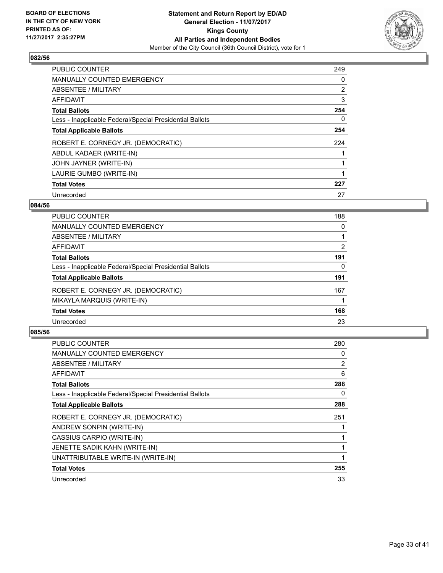

| <b>PUBLIC COUNTER</b>                                    | 249            |
|----------------------------------------------------------|----------------|
| MANUALLY COUNTED EMERGENCY                               | 0              |
| ABSENTEE / MILITARY                                      | $\overline{2}$ |
| AFFIDAVIT                                                | 3              |
| <b>Total Ballots</b>                                     | 254            |
| Less - Inapplicable Federal/Special Presidential Ballots | 0              |
| <b>Total Applicable Ballots</b>                          | 254            |
| ROBERT E. CORNEGY JR. (DEMOCRATIC)                       | 224            |
| ABDUL KADAER (WRITE-IN)                                  |                |
| JOHN JAYNER (WRITE-IN)                                   |                |
| LAURIE GUMBO (WRITE-IN)                                  |                |
| <b>Total Votes</b>                                       | 227            |
| Unrecorded                                               | 27             |

## **084/56**

| <b>PUBLIC COUNTER</b>                                    | 188            |
|----------------------------------------------------------|----------------|
| <b>MANUALLY COUNTED EMERGENCY</b>                        | 0              |
| ABSENTEE / MILITARY                                      |                |
| <b>AFFIDAVIT</b>                                         | $\overline{2}$ |
| <b>Total Ballots</b>                                     | 191            |
| Less - Inapplicable Federal/Special Presidential Ballots | 0              |
| <b>Total Applicable Ballots</b>                          | 191            |
| ROBERT E. CORNEGY JR. (DEMOCRATIC)                       | 167            |
| MIKAYLA MARQUIS (WRITE-IN)                               |                |
| <b>Total Votes</b>                                       | 168            |
| Unrecorded                                               | 23             |
|                                                          |                |

| <b>PUBLIC COUNTER</b>                                    | 280 |
|----------------------------------------------------------|-----|
| <b>MANUALLY COUNTED EMERGENCY</b>                        | 0   |
| ABSENTEE / MILITARY                                      | 2   |
| AFFIDAVIT                                                | 6   |
| <b>Total Ballots</b>                                     | 288 |
| Less - Inapplicable Federal/Special Presidential Ballots | 0   |
| <b>Total Applicable Ballots</b>                          | 288 |
| ROBERT E. CORNEGY JR. (DEMOCRATIC)                       | 251 |
| ANDREW SONPIN (WRITE-IN)                                 |     |
| CASSIUS CARPIO (WRITE-IN)                                |     |
| JENETTE SADIK KAHN (WRITE-IN)                            | 1   |
| UNATTRIBUTABLE WRITE-IN (WRITE-IN)                       |     |
|                                                          |     |
| <b>Total Votes</b>                                       | 255 |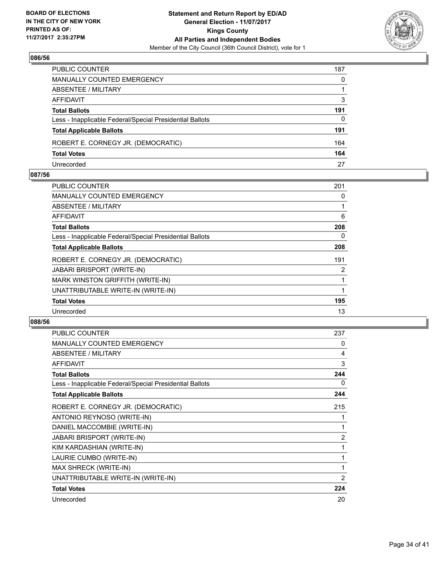

| PUBLIC COUNTER                                           | 187          |
|----------------------------------------------------------|--------------|
| MANUALLY COUNTED EMERGENCY                               | $\mathbf{0}$ |
| ABSENTEE / MILITARY                                      |              |
| AFFIDAVIT                                                | 3            |
| Total Ballots                                            | 191          |
| Less - Inapplicable Federal/Special Presidential Ballots | $\mathbf{0}$ |
| <b>Total Applicable Ballots</b>                          | 191          |
| ROBERT E. CORNEGY JR. (DEMOCRATIC)                       | 164          |
| <b>Total Votes</b>                                       | 164          |
| Unrecorded                                               | 27           |

#### **087/56**

| <b>PUBLIC COUNTER</b>                                    | 201            |
|----------------------------------------------------------|----------------|
| <b>MANUALLY COUNTED EMERGENCY</b>                        | 0              |
| ABSENTEE / MILITARY                                      |                |
| AFFIDAVIT                                                | 6              |
| <b>Total Ballots</b>                                     | 208            |
| Less - Inapplicable Federal/Special Presidential Ballots | 0              |
| <b>Total Applicable Ballots</b>                          | 208            |
| ROBERT E. CORNEGY JR. (DEMOCRATIC)                       | 191            |
| <b>JABARI BRISPORT (WRITE-IN)</b>                        | $\overline{2}$ |
| MARK WINSTON GRIFFITH (WRITE-IN)                         |                |
| UNATTRIBUTABLE WRITE-IN (WRITE-IN)                       |                |
| <b>Total Votes</b>                                       | 195            |
| Unrecorded                                               | 13             |
|                                                          |                |

| <b>PUBLIC COUNTER</b>                                    | 237 |
|----------------------------------------------------------|-----|
| <b>MANUALLY COUNTED EMERGENCY</b>                        | 0   |
| ABSENTEE / MILITARY                                      | 4   |
| <b>AFFIDAVIT</b>                                         | 3   |
| <b>Total Ballots</b>                                     | 244 |
| Less - Inapplicable Federal/Special Presidential Ballots | 0   |
| <b>Total Applicable Ballots</b>                          | 244 |
| ROBERT E. CORNEGY JR. (DEMOCRATIC)                       | 215 |
| ANTONIO REYNOSO (WRITE-IN)                               |     |
| DANIEL MACCOMBIE (WRITE-IN)                              | 1   |
| <b>JABARI BRISPORT (WRITE-IN)</b>                        | 2   |
| KIM KARDASHIAN (WRITE-IN)                                | 1   |
| LAURIE CUMBO (WRITE-IN)                                  | 1   |
| MAX SHRECK (WRITE-IN)                                    | 1   |
| UNATTRIBUTABLE WRITE-IN (WRITE-IN)                       | 2   |
| <b>Total Votes</b>                                       | 224 |
| Unrecorded                                               | 20  |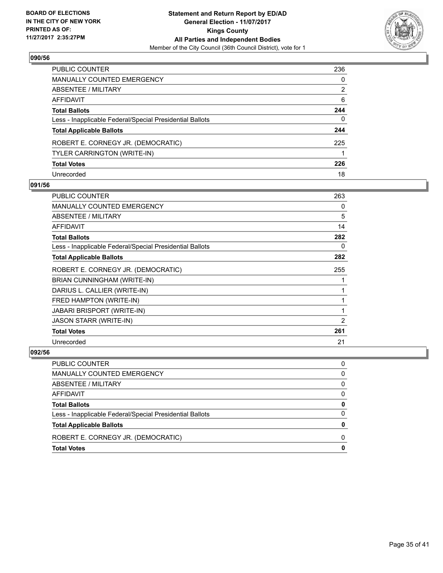

| PUBLIC COUNTER                                           | 236 |
|----------------------------------------------------------|-----|
| <b>MANUALLY COUNTED EMERGENCY</b>                        | 0   |
| <b>ABSENTEE / MILITARY</b>                               | 2   |
| AFFIDAVIT                                                | 6   |
| <b>Total Ballots</b>                                     | 244 |
| Less - Inapplicable Federal/Special Presidential Ballots | 0   |
| <b>Total Applicable Ballots</b>                          | 244 |
| ROBERT E. CORNEGY JR. (DEMOCRATIC)                       | 225 |
| TYLER CARRINGTON (WRITE-IN)                              |     |
| <b>Total Votes</b>                                       | 226 |
| Unrecorded                                               | 18  |

## **091/56**

| <b>PUBLIC COUNTER</b>                                    | 263 |
|----------------------------------------------------------|-----|
| <b>MANUALLY COUNTED EMERGENCY</b>                        | 0   |
| ABSENTEE / MILITARY                                      | 5   |
| AFFIDAVIT                                                | 14  |
| <b>Total Ballots</b>                                     | 282 |
| Less - Inapplicable Federal/Special Presidential Ballots | 0   |
| <b>Total Applicable Ballots</b>                          | 282 |
| ROBERT E. CORNEGY JR. (DEMOCRATIC)                       | 255 |
| BRIAN CUNNINGHAM (WRITE-IN)                              |     |
| DARIUS L. CALLIER (WRITE-IN)                             | 1   |
| FRED HAMPTON (WRITE-IN)                                  | 1   |
| <b>JABARI BRISPORT (WRITE-IN)</b>                        | 1   |
| JASON STARR (WRITE-IN)                                   | 2   |
| <b>Total Votes</b>                                       | 261 |
| Unrecorded                                               | 21  |

| PUBLIC COUNTER                                           | 0 |
|----------------------------------------------------------|---|
| MANUALLY COUNTED EMERGENCY                               | 0 |
| ABSENTEE / MILITARY                                      | 0 |
| <b>AFFIDAVIT</b>                                         | 0 |
| <b>Total Ballots</b>                                     | 0 |
| Less - Inapplicable Federal/Special Presidential Ballots | 0 |
| <b>Total Applicable Ballots</b>                          | o |
| ROBERT E. CORNEGY JR. (DEMOCRATIC)                       | O |
| <b>Total Votes</b>                                       |   |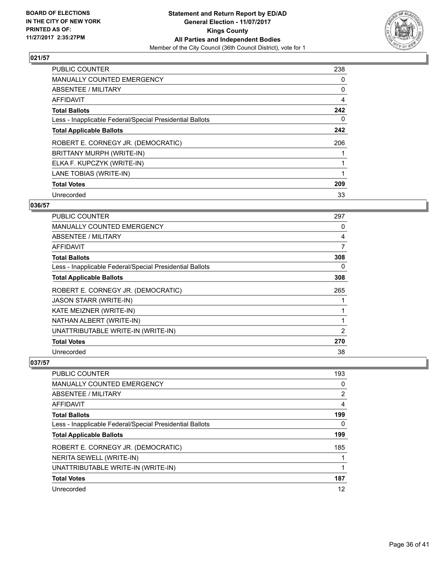

| <b>PUBLIC COUNTER</b>                                    | 238 |
|----------------------------------------------------------|-----|
| <b>MANUALLY COUNTED EMERGENCY</b>                        | 0   |
| ABSENTEE / MILITARY                                      | 0   |
| <b>AFFIDAVIT</b>                                         | 4   |
| <b>Total Ballots</b>                                     | 242 |
| Less - Inapplicable Federal/Special Presidential Ballots | 0   |
| <b>Total Applicable Ballots</b>                          | 242 |
| ROBERT E. CORNEGY JR. (DEMOCRATIC)                       | 206 |
| BRITTANY MURPH (WRITE-IN)                                |     |
| ELKA F. KUPCZYK (WRITE-IN)                               |     |
| LANE TOBIAS (WRITE-IN)                                   | 1   |
| <b>Total Votes</b>                                       | 209 |
| Unrecorded                                               | 33  |

## **036/57**

| PUBLIC COUNTER                                           | 297            |
|----------------------------------------------------------|----------------|
| <b>MANUALLY COUNTED EMERGENCY</b>                        | 0              |
| ABSENTEE / MILITARY                                      | 4              |
| AFFIDAVIT                                                | 7              |
| <b>Total Ballots</b>                                     | 308            |
| Less - Inapplicable Federal/Special Presidential Ballots | 0              |
| <b>Total Applicable Ballots</b>                          | 308            |
| ROBERT E. CORNEGY JR. (DEMOCRATIC)                       | 265            |
| <b>JASON STARR (WRITE-IN)</b>                            |                |
| KATE MEIZNER (WRITE-IN)                                  | 1              |
| NATHAN ALBERT (WRITE-IN)                                 | 1              |
| UNATTRIBUTABLE WRITE-IN (WRITE-IN)                       | $\overline{2}$ |
| <b>Total Votes</b>                                       | 270            |
| Unrecorded                                               | 38             |

| <b>PUBLIC COUNTER</b>                                    | 193            |
|----------------------------------------------------------|----------------|
| <b>MANUALLY COUNTED EMERGENCY</b>                        | 0              |
| ABSENTEE / MILITARY                                      | $\overline{2}$ |
| AFFIDAVIT                                                | 4              |
| <b>Total Ballots</b>                                     | 199            |
| Less - Inapplicable Federal/Special Presidential Ballots | 0              |
| <b>Total Applicable Ballots</b>                          | 199            |
| ROBERT E. CORNEGY JR. (DEMOCRATIC)                       | 185            |
| NERITA SEWELL (WRITE-IN)                                 |                |
| UNATTRIBUTABLE WRITE-IN (WRITE-IN)                       |                |
| <b>Total Votes</b>                                       | 187            |
| Unrecorded                                               | 12             |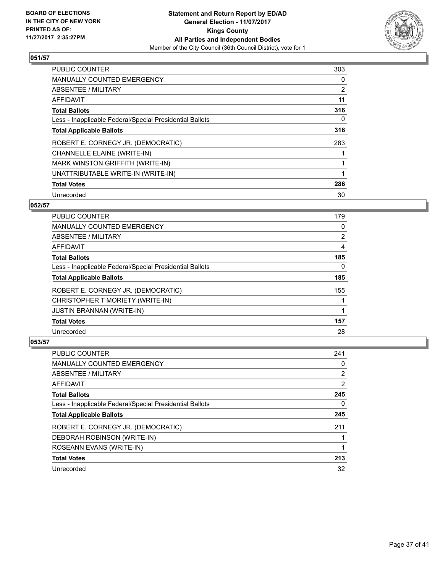

| <b>PUBLIC COUNTER</b>                                    | 303 |
|----------------------------------------------------------|-----|
| <b>MANUALLY COUNTED EMERGENCY</b>                        | 0   |
| ABSENTEE / MILITARY                                      | 2   |
| <b>AFFIDAVIT</b>                                         | 11  |
| <b>Total Ballots</b>                                     | 316 |
| Less - Inapplicable Federal/Special Presidential Ballots | 0   |
| <b>Total Applicable Ballots</b>                          | 316 |
| ROBERT E. CORNEGY JR. (DEMOCRATIC)                       | 283 |
| CHANNELLE ELAINE (WRITE-IN)                              |     |
| <b>MARK WINSTON GRIFFITH (WRITE-IN)</b>                  |     |
| UNATTRIBUTABLE WRITE-IN (WRITE-IN)                       |     |
| <b>Total Votes</b>                                       | 286 |
| Unrecorded                                               | 30  |

## **052/57**

| <b>PUBLIC COUNTER</b>                                    | 179            |
|----------------------------------------------------------|----------------|
| <b>MANUALLY COUNTED EMERGENCY</b>                        | 0              |
| ABSENTEE / MILITARY                                      | $\overline{2}$ |
| <b>AFFIDAVIT</b>                                         | 4              |
| <b>Total Ballots</b>                                     | 185            |
| Less - Inapplicable Federal/Special Presidential Ballots | 0              |
| <b>Total Applicable Ballots</b>                          | 185            |
| ROBERT E. CORNEGY JR. (DEMOCRATIC)                       | 155            |
| CHRISTOPHER T MORIETY (WRITE-IN)                         |                |
| <b>JUSTIN BRANNAN (WRITE-IN)</b>                         |                |
| <b>Total Votes</b>                                       | 157            |
| Unrecorded                                               | 28             |

| PUBLIC COUNTER                                           | 241            |
|----------------------------------------------------------|----------------|
| <b>MANUALLY COUNTED EMERGENCY</b>                        | 0              |
| ABSENTEE / MILITARY                                      | $\overline{2}$ |
| AFFIDAVIT                                                | $\overline{2}$ |
| <b>Total Ballots</b>                                     | 245            |
| Less - Inapplicable Federal/Special Presidential Ballots | 0              |
| <b>Total Applicable Ballots</b>                          | 245            |
| ROBERT E. CORNEGY JR. (DEMOCRATIC)                       | 211            |
| DEBORAH ROBINSON (WRITE-IN)                              |                |
| ROSEANN EVANS (WRITE-IN)                                 |                |
| <b>Total Votes</b>                                       | 213            |
| Unrecorded                                               | 32             |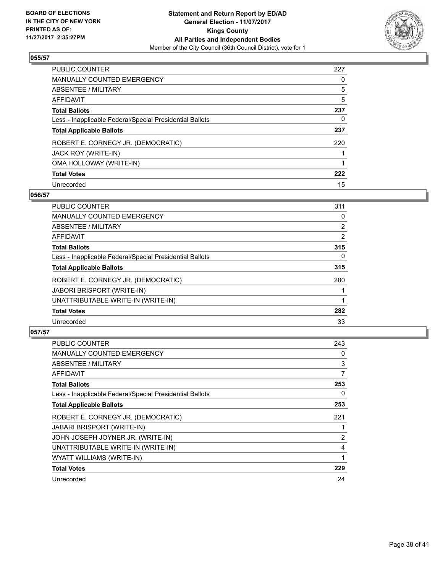

| <b>PUBLIC COUNTER</b>                                    | 227 |
|----------------------------------------------------------|-----|
| <b>MANUALLY COUNTED EMERGENCY</b>                        | 0   |
| ABSENTEE / MILITARY                                      | 5   |
| AFFIDAVIT                                                | 5   |
| <b>Total Ballots</b>                                     | 237 |
| Less - Inapplicable Federal/Special Presidential Ballots | 0   |
| <b>Total Applicable Ballots</b>                          | 237 |
| ROBERT E. CORNEGY JR. (DEMOCRATIC)                       | 220 |
| JACK ROY (WRITE-IN)                                      |     |
| OMA HOLLOWAY (WRITE-IN)                                  |     |
| <b>Total Votes</b>                                       | 222 |
| Unrecorded                                               | 15  |

## **056/57**

| <b>PUBLIC COUNTER</b>                                    | 311            |
|----------------------------------------------------------|----------------|
| <b>MANUALLY COUNTED EMERGENCY</b>                        | 0              |
| ABSENTEE / MILITARY                                      | $\overline{2}$ |
| <b>AFFIDAVIT</b>                                         | 2              |
| <b>Total Ballots</b>                                     | 315            |
| Less - Inapplicable Federal/Special Presidential Ballots | $\Omega$       |
| <b>Total Applicable Ballots</b>                          | 315            |
| ROBERT E. CORNEGY JR. (DEMOCRATIC)                       | 280            |
| <b>JABORI BRISPORT (WRITE-IN)</b>                        |                |
| UNATTRIBUTABLE WRITE-IN (WRITE-IN)                       |                |
| <b>Total Votes</b>                                       | 282            |
| Unrecorded                                               | 33             |

| PUBLIC COUNTER                                           | 243 |
|----------------------------------------------------------|-----|
| <b>MANUALLY COUNTED EMERGENCY</b>                        | 0   |
| ABSENTEE / MILITARY                                      | 3   |
| AFFIDAVIT                                                | 7   |
| <b>Total Ballots</b>                                     | 253 |
| Less - Inapplicable Federal/Special Presidential Ballots | 0   |
| <b>Total Applicable Ballots</b>                          | 253 |
| ROBERT E. CORNEGY JR. (DEMOCRATIC)                       | 221 |
| <b>JABARI BRISPORT (WRITE-IN)</b>                        |     |
| JOHN JOSEPH JOYNER JR. (WRITE-IN)                        | 2   |
| UNATTRIBUTABLE WRITE-IN (WRITE-IN)                       | 4   |
| WYATT WILLIAMS (WRITE-IN)                                | 1   |
| <b>Total Votes</b>                                       | 229 |
| Unrecorded                                               | 24  |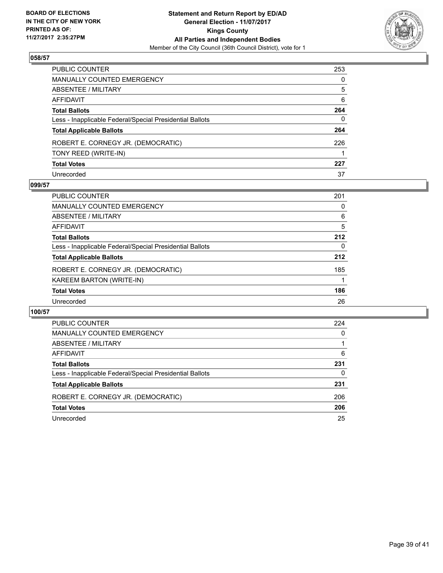

| PUBLIC COUNTER                                           | 253      |
|----------------------------------------------------------|----------|
| MANUALLY COUNTED EMERGENCY                               | 0        |
| <b>ABSENTEE / MILITARY</b>                               | 5        |
| AFFIDAVIT                                                | 6        |
| Total Ballots                                            | 264      |
| Less - Inapplicable Federal/Special Presidential Ballots | $\Omega$ |
| <b>Total Applicable Ballots</b>                          | 264      |
| ROBERT E. CORNEGY JR. (DEMOCRATIC)                       | 226      |
| TONY REED (WRITE-IN)                                     |          |
| <b>Total Votes</b>                                       | 227      |
| Unrecorded                                               | 37       |

## **099/57**

| <b>PUBLIC COUNTER</b>                                    | 201 |
|----------------------------------------------------------|-----|
| <b>MANUALLY COUNTED EMERGENCY</b>                        | 0   |
| ABSENTEE / MILITARY                                      | 6   |
| AFFIDAVIT                                                | 5   |
| <b>Total Ballots</b>                                     | 212 |
| Less - Inapplicable Federal/Special Presidential Ballots | 0   |
| <b>Total Applicable Ballots</b>                          | 212 |
| ROBERT E. CORNEGY JR. (DEMOCRATIC)                       | 185 |
| KAREEM BARTON (WRITE-IN)                                 |     |
| <b>Total Votes</b>                                       | 186 |
| Unrecorded                                               | 26  |

| <b>PUBLIC COUNTER</b>                                    | 224 |
|----------------------------------------------------------|-----|
| <b>MANUALLY COUNTED EMERGENCY</b>                        | 0   |
| ABSENTEE / MILITARY                                      |     |
| AFFIDAVIT                                                | 6   |
| <b>Total Ballots</b>                                     | 231 |
| Less - Inapplicable Federal/Special Presidential Ballots | 0   |
| <b>Total Applicable Ballots</b>                          | 231 |
| ROBERT E. CORNEGY JR. (DEMOCRATIC)                       | 206 |
| <b>Total Votes</b>                                       | 206 |
| Unrecorded                                               | 25  |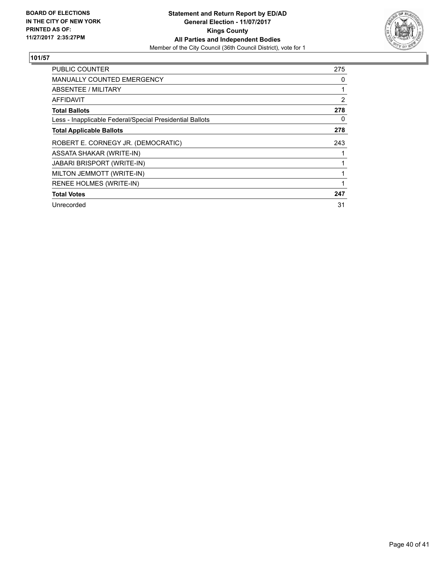

| <b>PUBLIC COUNTER</b>                                    | 275 |
|----------------------------------------------------------|-----|
| <b>MANUALLY COUNTED EMERGENCY</b>                        | 0   |
| ABSENTEE / MILITARY                                      | 1   |
| AFFIDAVIT                                                | 2   |
| <b>Total Ballots</b>                                     | 278 |
| Less - Inapplicable Federal/Special Presidential Ballots | 0   |
| <b>Total Applicable Ballots</b>                          | 278 |
| ROBERT E. CORNEGY JR. (DEMOCRATIC)                       | 243 |
| ASSATA SHAKAR (WRITE-IN)                                 | 1   |
| <b>JABARI BRISPORT (WRITE-IN)</b>                        | 1   |
| MILTON JEMMOTT (WRITE-IN)                                |     |
| RENEE HOLMES (WRITE-IN)                                  | 1   |
| <b>Total Votes</b>                                       | 247 |
| Unrecorded                                               | 31  |